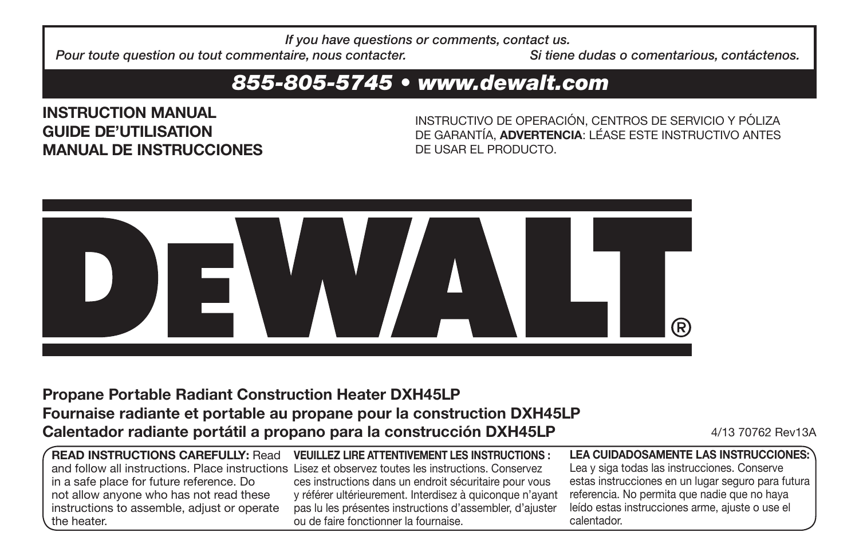*If you have questions or comments, contact us.*

*Pour toute question ou tout commentaire, nous contacter. Si tiene dudas o comentarious, contéctenos. a*

# *855-805-5745 • www.dewalt.com*

**INSTRUCTION MANUAL GUIDE DE'UTILISATION MANUAL DE INSTRUCCIONES**

INSTRUCTIVO DE OPERACIÓN, CENTROS DE SERVICIO Y PÓLIZA DE GARANTÍA, **ADVERTENCIA**: LÉASE ESTE INSTRUCTIVO ANTES DE USAR EL PRODUCTO.



# **Propane Portable Radiant Construction Heater DXH45LP Fournaise radiante et portable au propane pour la construction DXH45LP Calentador radiante portátil a propano para la construcción DXH45LP** 4/13 70762 Rev13A

| <b>READ INSTRUCTIONS CAREFULLY: Read</b>        |
|-------------------------------------------------|
| and follow all instructions. Place instructions |
| in a safe place for future reference. Do        |
| not allow anyone who has not read these         |
| instructions to assemble, adjust or operate     |
| the heater.                                     |

**VEUILLEZ LIRE ATTENTIVEMENT LES INSTRUCTIONS :** Lisez et observez toutes les instructions. Conservez ces instructions dans un endroit sécuritaire pour vous y référer ultérieurement. Interdisez à quiconque n'ayant pas lu les présentes instructions d'assembler, d'ajuster ou de faire fonctionner la fournaise.

**LEA CUIDADOSAMENTE LAS INSTRUCCIONES:**  Lea y siga todas las instrucciones. Conserve estas instrucciones en un lugar seguro para futura referencia. No permita que nadie que no haya leído estas instrucciones arme, ajuste o use el calentador.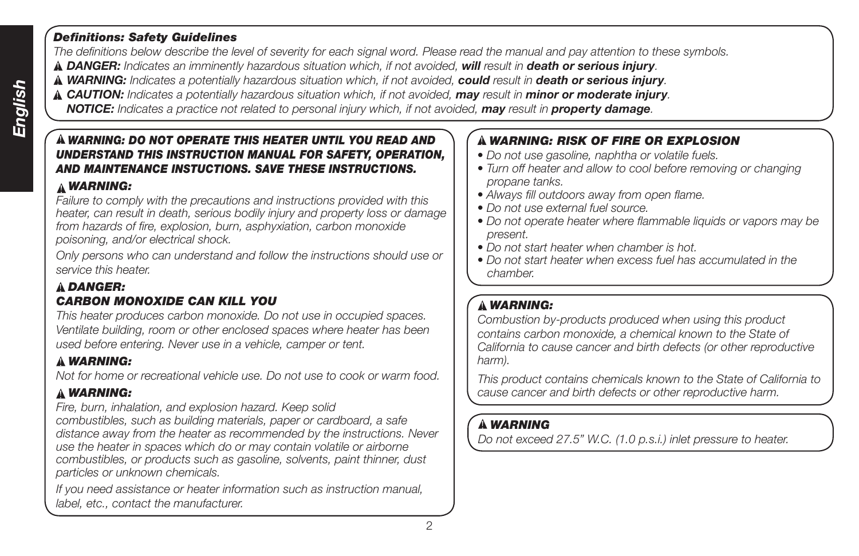## *Definitions: Safety Guidelines*

*The definitions below describe the level of severity for each signal word. Please read the manual and pay attention to these symbols.*

- *DANGER: Indicates an imminently hazardous situation which, if not avoided, will result in death or serious injury.*
- *WARNING: Indicates a potentially hazardous situation which, if not avoided, could result in death or serious injury.*
- *CAUTION: Indicates a potentially hazardous situation which, if not avoided, may result in minor or moderate injury.*
- *NOTICE: Indicates a practice not related to personal injury which, if not avoided, may result in property damage.*

## *WARNING: DO NOT OPERATE THIS HEATER UNTIL YOU READ AND UNDERSTAND THIS INSTRUCTION MANUAL FOR SAFETY, OPERATION, AND MAINTENANCE INSTUCTIONS. SAVE THESE INSTRUCTIONS.*

# *WARNING:*

*Failure to comply with the precautions and instructions provided with this heater, can result in death, serious bodily injury and property loss or damage from hazards of fire, explosion, burn, asphyxiation, carbon monoxide poisoning, and/or electrical shock.*

*Only persons who can understand and follow the instructions should use or service this heater.*

## *DANGER: CARBON MONOXIDE CAN KILL YOU*

*This heater produces carbon monoxide. Do not use in occupied spaces. Ventilate building, room or other enclosed spaces where heater has been used before entering. Never use in a vehicle, camper or tent.*

# *WARNING:*

*Not for home or recreational vehicle use. Do not use to cook or warm food.*

# *WARNING:*

*Fire, burn, inhalation, and explosion hazard. Keep solid combustibles, such as building materials, paper or cardboard, a safe distance away from the heater as recommended by the instructions. Never use the heater in spaces which do or may contain volatile or airborne combustibles, or products such as gasoline, solvents, paint thinner, dust particles or unknown chemicals.*

*If you need assistance or heater information such as instruction manual, label, etc., contact the manufacturer.*

# *WARNING: RISK OF FIRE OR EXPLOSION*

- *Do not use gasoline, naphtha or volatile fuels.*
- *Turn off heater and allow to cool before removing or changing propane tanks.*
- *Always fill outdoors away from open flame.*
- *Do not use external fuel source.*
- *Do not operate heater where flammable liquids or vapors may be present.*
- *Do not start heater when chamber is hot.*
- *Do not start heater when excess fuel has accumulated in the chamber.*

# *WARNING:*

*Combustion by-products produced when using this product contains carbon monoxide, a chemical known to the State of California to cause cancer and birth defects (or other reproductive harm).*

*This product contains chemicals known to the State of California to cause cancer and birth defects or other reproductive harm.*

# *WARNING*

*Do not exceed 27.5" W.C. (1.0 p.s.i.) inlet pressure to heater.*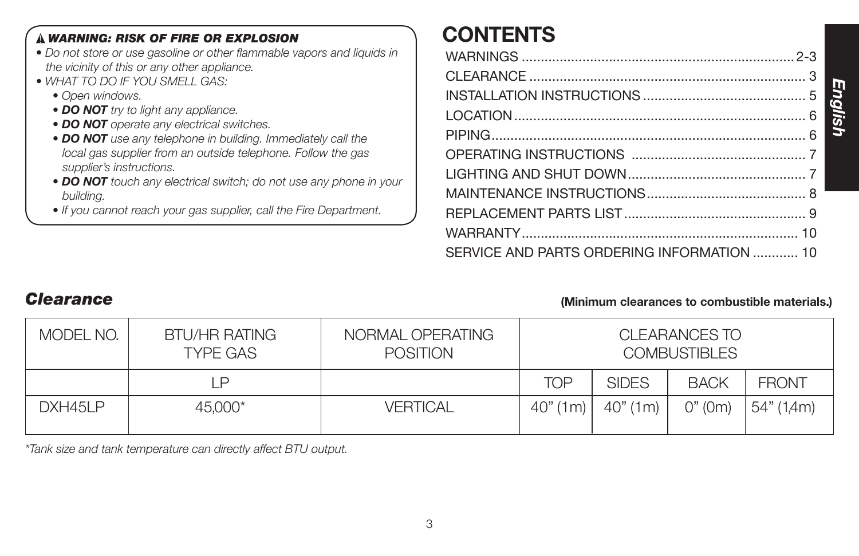| <b>A WARNING: RISK OF FIRE OR EXPLOSION</b>                                                               | <b>CONTENTS</b> |
|-----------------------------------------------------------------------------------------------------------|-----------------|
| • Do not store or use gasoline or other flammable vapors and liquids in                                   |                 |
| the vicinity of this or any other appliance.<br>• WHAT TO DO IF YOU SMELL GAS:                            |                 |
| • Open windows.                                                                                           |                 |
| • DO NOT try to light any appliance.                                                                      |                 |
| • DO NOT operate any electrical switches.<br>• DO NOT use any telephone in building. Immediately call the |                 |
| local gas supplier from an outside telephone. Follow the gas                                              |                 |
| supplier's instructions.<br>• DO NOT touch any electrical switch; do not use any phone in your            |                 |
| buildina.                                                                                                 |                 |
| . If you cannot reach your gas supplier, call the Fire Department.                                        |                 |
|                                                                                                           |                 |

# *Clearance* **(Minimum clearances to combustible materials.)**

SERVICE AND PARTS ORDERING INFORMATION ............ 10

*English*

| MODEL NO. | <b>BTU/HR RATING</b><br><b>TYPE GAS</b> | NORMAL OPERATING<br><b>POSITION</b> |            |              | CLEARANCES TO<br><b>COMBUSTIBLES</b> |              |
|-----------|-----------------------------------------|-------------------------------------|------------|--------------|--------------------------------------|--------------|
|           | P                                       |                                     | TOP        | <b>SIDES</b> | <b>BACK</b>                          | <b>FRONT</b> |
| DXH45LP   | 45,000*                                 | <b>VERTICAL</b>                     | 40" (1m) ' | 40" (1m)     | O''(0m)                              | 54" (1,4m)   |

*\*Tank size and tank temperature can directly affect BTU output.*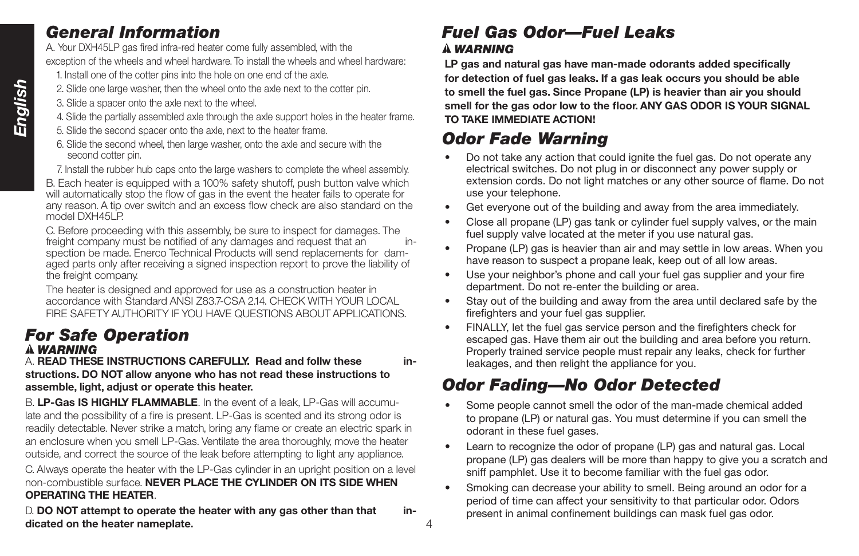# *General Information*

A. Your DXH45LP gas fired infra-red heater come fully assembled, with the exception of the wheels and wheel hardware. To install the wheels and wheel hardware:

- 1. Install one of the cotter pins into the hole on one end of the axle.
- 2. Slide one large washer, then the wheel onto the axle next to the cotter pin.
- 3. Slide a spacer onto the axle next to the wheel.
- 4. Slide the partially assembled axle through the axle support holes in the heater frame.
- 5. Slide the second spacer onto the axle, next to the heater frame.
- 6. Slide the second wheel, then large washer, onto the axle and secure with the second cotter pin.

 7. Install the rubber hub caps onto the large washers to complete the wheel assembly. B. Each heater is equipped with a 100% safety shutoff, push button valve which

will automatically stop the flow of gas in the event the heater fails to operate for any reason. A tip over switch and an excess flow check are also standard on the model DXH45LP

C. Before proceeding with this assembly, be sure to inspect for damages. The freight company must be notified of any damages and request that an inspection be made. Enerco Technical Products will send replacements for damaged parts only after receiving a signed inspection report to prove the liability of the freight company.

The heater is designed and approved for use as a construction heater in accordance with Standard ANSI Z83.7-CSA 2.14. CHECK WITH YOUR LOCAL FIRE SAFETY AUTHORITY IF YOU HAVE QUESTIONS ABOUT APPLICATIONS.

# *For Safe Operation WARNING*

A. **READ THESE INSTRUCTIONS CAREFULLY. Read and follw these in‑ structions. DO NOT allow anyone who has not read these instructions to assemble, light, adjust or operate this heater.**

B. **LP-Gas IS HIGHLY FLAMMABLE**. In the event of a leak, LP-Gas will accumulate and the possibility of a fire is present. LP-Gas is scented and its strong odor is readily detectable. Never strike a match, bring any flame or create an electric spark in an enclosure when you smell LP-Gas. Ventilate the area thoroughly, move the heater outside, and correct the source of the leak before attempting to light any appliance.

C. Always operate the heater with the LP-Gas cylinder in an upright position on a level non-combustible surface. **NEVER PLACE THE CYLINDER ON ITS SIDE WHEN OPERATING THE HEATER**.

D. **DO NOT** attempt to operate the heater with any gas other than that in**dicated on the heater nameplate.**

# *Fuel Gas Odor—Fuel Leaks WARNING*

**LP gas and natural gas have man‑made odorants added specifically for detection of fuel gas leaks. If a gas leak occurs you should be able to smell the fuel gas. Since Propane (LP) is heavier than air you should smell for the gas odor low to the floor. ANY GAS ODOR IS YOUR SIGNAL TO TAKE IMMEDIATE ACTION!**

# *Odor Fade Warning*

4

- Do not take any action that could ignite the fuel gas. Do not operate any electrical switches. Do not plug in or disconnect any power supply or extension cords. Do not light matches or any other source of flame. Do not use your telephone.
- Get everyone out of the building and away from the area immediately.
- Close all propane (LP) gas tank or cylinder fuel supply valves, or the main fuel supply valve located at the meter if you use natural gas.
- Propane (LP) gas is heavier than air and may settle in low areas. When you have reason to suspect a propane leak, keep out of all low areas.
- Use your neighbor's phone and call your fuel gas supplier and your fire department. Do not re-enter the building or area.
- Stay out of the building and away from the area until declared safe by the firefighters and your fuel gas supplier.
- FINALLY, let the fuel gas service person and the firefighters check for escaped gas. Have them air out the building and area before you return. Properly trained service people must repair any leaks, check for further leakages, and then relight the appliance for you.

# *Odor Fading—No Odor Detected*

- Some people cannot smell the odor of the man-made chemical added to propane (LP) or natural gas. You must determine if you can smell the odorant in these fuel gases.
- Learn to recognize the odor of propane (LP) gas and natural gas. Local propane (LP) gas dealers will be more than happy to give you a scratch and sniff pamphlet. Use it to become familiar with the fuel gas odor.
- Smoking can decrease your ability to smell. Being around an odor for a period of time can affect your sensitivity to that particular odor. Odors present in animal confinement buildings can mask fuel gas odor.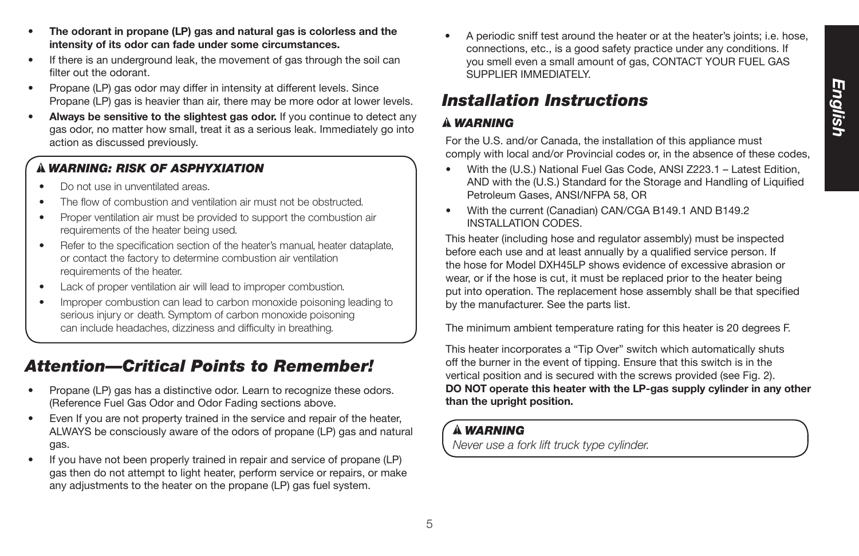- **The odorant in propane (LP) gas and natural gas is colorless and the intensity of its odor can fade under some circumstances.**
- If there is an underground leak, the movement of gas through the soil can filter out the odorant.
- Propane (LP) gas odor may differ in intensity at different levels. Since Propane (LP) gas is heavier than air, there may be more odor at lower levels.
- **Always be sensitive to the slightest gas odor.** If you continue to detect any gas odor, no matter how small, treat it as a serious leak. Immediately go into action as discussed previously.

# *WARNING: RISK OF ASPHYXIATION*

- Do not use in unventilated areas.
- The flow of combustion and ventilation air must not be obstructed.
- Proper ventilation air must be provided to support the combustion air requirements of the heater being used.
- Refer to the specification section of the heater's manual, heater dataplate, or contact the factory to determine combustion air ventilation requirements of the heater.
- Lack of proper ventilation air will lead to improper combustion.
- Improper combustion can lead to carbon monoxide poisoning leading to serious injury or death. Symptom of carbon monoxide poisoning can include headaches, dizziness and difficulty in breathing.

# *Attention—Critical Points to Remember!*

- Propane (LP) gas has a distinctive odor. Learn to recognize these odors. (Reference Fuel Gas Odor and Odor Fading sections above.
- Even If you are not property trained in the service and repair of the heater, ALWAYS be consciously aware of the odors of propane (LP) gas and natural gas.
- If you have not been properly trained in repair and service of propane (LP) gas then do not attempt to light heater, perform service or repairs, or make any adjustments to the heater on the propane (LP) gas fuel system.

• A periodic sniff test around the heater or at the heater's joints; i.e. hose, connections, etc., is a good safety practice under any conditions. If you smell even a small amount of gas, CONTACT YOUR FUEL GAS SUPPLIER IMMEDIATELY.

# *Installation Instructions*

## *WARNING*

For the U.S. and/or Canada, the installation of this appliance must comply with local and/or Provincial codes or, in the absence of these codes,

- With the (U.S.) National Fuel Gas Code, ANSI Z223.1 Latest Edition, AND with the (U.S.) Standard for the Storage and Handling of Liquified Petroleum Gases, ANSI/NFPA 58, OR
- With the current (Canadian) CAN/CGA B149.1 AND B149.2 INSTALLATION CODES.

This heater (including hose and regulator assembly) must be inspected before each use and at least annually by a qualified service person. If the hose for Model DXH45LP shows evidence of excessive abrasion or wear, or if the hose is cut, it must be replaced prior to the heater being put into operation. The replacement hose assembly shall be that specified by the manufacturer. See the parts list.

The minimum ambient temperature rating for this heater is 20 degrees F.

This heater incorporates a "Tip Over" switch which automatically shuts off the burner in the event of tipping. Ensure that this switch is in the vertical position and is secured with the screws provided (see Fig. 2). **DO NOT operate this heater with the LP-gas supply cylinder in any other than the upright position.**

# *WARNING*

*Never use a fork lift truck type cylinder.*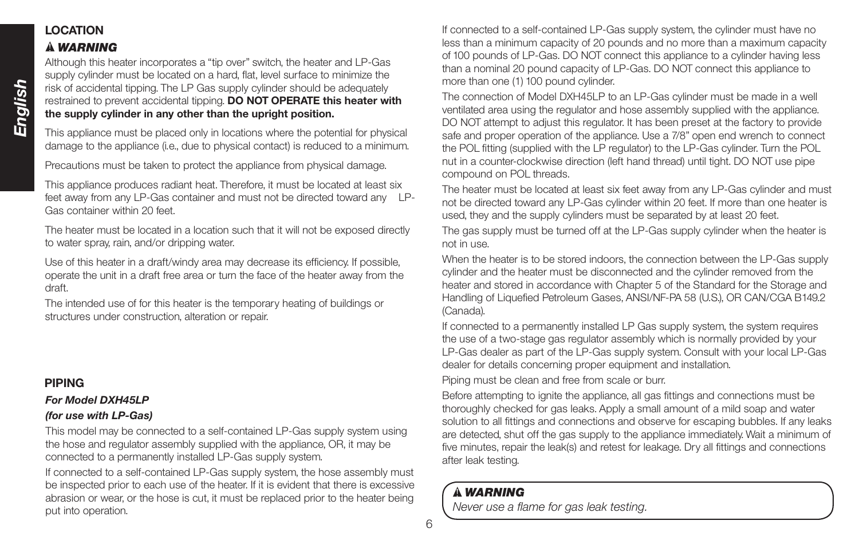# **LOCATION**

## *WARNING*

Although this heater incorporates a "tip over" switch, the heater and LP-Gas supply cylinder must be located on a hard, flat, level surface to minimize the risk of accidental tipping. The LP Gas supply cylinder should be adequately restrained to prevent accidental tipping. **DO NOT OPERATE this heater with the supply cylinder in any other than the upright position.**

This appliance must be placed only in locations where the potential for physical damage to the appliance (i.e., due to physical contact) is reduced to a minimum.

Precautions must be taken to protect the appliance from physical damage.

This appliance produces radiant heat. Therefore, it must be located at least six feet away from any LP-Gas container and must not be directed toward any LP-Gas container within 20 feet.

The heater must be located in a location such that it will not be exposed directly to water spray, rain, and/or dripping water.

Use of this heater in a draft/windy area may decrease its efficiency. If possible, operate the unit in a draft free area or turn the face of the heater away from the draft.

The intended use of for this heater is the temporary heating of buildings or structures under construction, alteration or repair.

## **PIPING**

## *For Model DXH45LP (for use with LP-Gas)*

This model may be connected to a self-contained LP-Gas supply system using the hose and regulator assembly supplied with the appliance, OR, it may be connected to a permanently installed LP-Gas supply system.

If connected to a self-contained LP-Gas supply system, the hose assembly must be inspected prior to each use of the heater. If it is evident that there is excessive abrasion or wear, or the hose is cut, it must be replaced prior to the heater being put into operation.

If connected to a self-contained LP-Gas supply system, the cylinder must have no less than a minimum capacity of 20 pounds and no more than a maximum capacity of 100 pounds of LP-Gas. DO NOT connect this appliance to a cylinder having less than a nominal 20 pound capacity of LP-Gas. DO NOT connect this appliance to more than one (1) 100 pound cylinder.

The connection of Model DXH45LP to an LP-Gas cylinder must be made in a well ventilated area using the regulator and hose assembly supplied with the appliance. DO NOT attempt to adjust this regulator. It has been preset at the factory to provide safe and proper operation of the appliance. Use a 7/8" open end wrench to connect the POL fitting (supplied with the LP regulator) to the LP-Gas cylinder. Turn the POL nut in a counter-clockwise direction (left hand thread) until tight. DO NOT use pipe compound on POL threads.

The heater must be located at least six feet away from any LP-Gas cylinder and must not be directed toward any LP-Gas cylinder within 20 feet. If more than one heater is used, they and the supply cylinders must be separated by at least 20 feet.

The gas supply must be turned off at the LP-Gas supply cylinder when the heater is not in use.

When the heater is to be stored indoors, the connection between the LP-Gas supply cylinder and the heater must be disconnected and the cylinder removed from the heater and stored in accordance with Chapter 5 of the Standard for the Storage and Handling of Liquefied Petroleum Gases, ANSI/NF-PA 58 (U.S.), OR CAN/CGA B149.2 (Canada).

If connected to a permanently installed LP Gas supply system, the system requires the use of a two-stage gas regulator assembly which is normally provided by your LP-Gas dealer as part of the LP-Gas supply system. Consult with your local LP-Gas dealer for details concerning proper equipment and installation.

Piping must be clean and free from scale or burr.

Before attempting to ignite the appliance, all gas fittings and connections must be thoroughly checked for gas leaks. Apply a small amount of a mild soap and water solution to all fittings and connections and observe for escaping bubbles. If any leaks are detected, shut off the gas supply to the appliance immediately. Wait a minimum of five minutes, repair the leak(s) and retest for leakage. Dry all fittings and connections after leak testing.

## *WARNING*

*Never use a flame for gas leak testing.*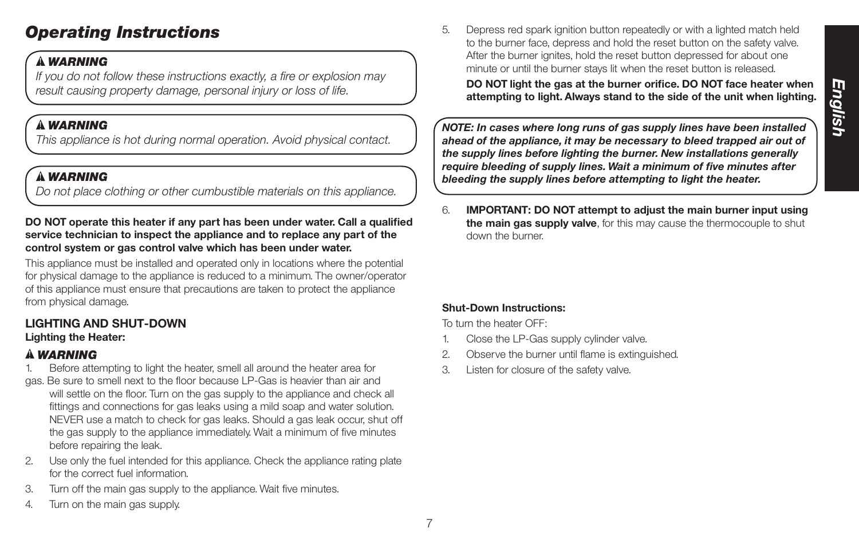# *Operating Instructions*

# *WARNING*

*If you do not follow these instructions exactly, a fire or explosion may result causing property damage, personal injury or loss of life.*

# *WARNING*

*This appliance is hot during normal operation. Avoid physical contact.*

# *WARNING*

*Do not place clothing or other cumbustible materials on this appliance.*

## **DO NOT operate this heater if any part has been under water. Call a qualified service technician to inspect the appliance and to replace any part of the control system or gas control valve which has been under water.**

This appliance must be installed and operated only in locations where the potential for physical damage to the appliance is reduced to a minimum. The owner/operator of this appliance must ensure that precautions are taken to protect the appliance from physical damage.

## **LIGHTING AND SHUT-DOWN Lighting the Heater:**

# *WARNING*

- 1. Before attempting to light the heater, smell all around the heater area for
- gas. Be sure to smell next to the floor because LP-Gas is heavier than air and will settle on the floor. Turn on the gas supply to the appliance and check all fittings and connections for gas leaks using a mild soap and water solution. NEVER use a match to check for gas leaks. Should a gas leak occur, shut off the gas supply to the appliance immediately. Wait a minimum of five minutes before repairing the leak.
- 2. Use only the fuel intended for this appliance. Check the appliance rating plate for the correct fuel information.
- 3. Turn off the main gas supply to the appliance. Wait five minutes.
- 4. Turn on the main gas supply.

5. Depress red spark ignition button repeatedly or with a lighted match held to the burner face, depress and hold the reset button on the safety valve. After the burner ignites, hold the reset button depressed for about one minute or until the burner stays lit when the reset button is released.

**DO NOT light the gas at the burner orifice. DO NOT face heater when attempting to light. Always stand to the side of the unit when lighting.**

*NOTE: In cases where long runs of gas supply lines have been installed ahead of the appliance, it may be necessary to bleed trapped air out of the supply lines before lighting the burner. New installations generally require bleeding of supply lines. Wait a minimum of five minutes after bleeding the supply lines before attempting to light the heater.*

6. **IMPORTANT: DO NOT attempt to adjust the main burner input using the main gas supply valve**, for this may cause the thermocouple to shut down the burner.

## **Shut-Down Instructions:**

To turn the heater OFF:

- 1. Close the LP-Gas supply cylinder valve.
- 2. Observe the burner until flame is extinguished.
- 3. Listen for closure of the safety valve.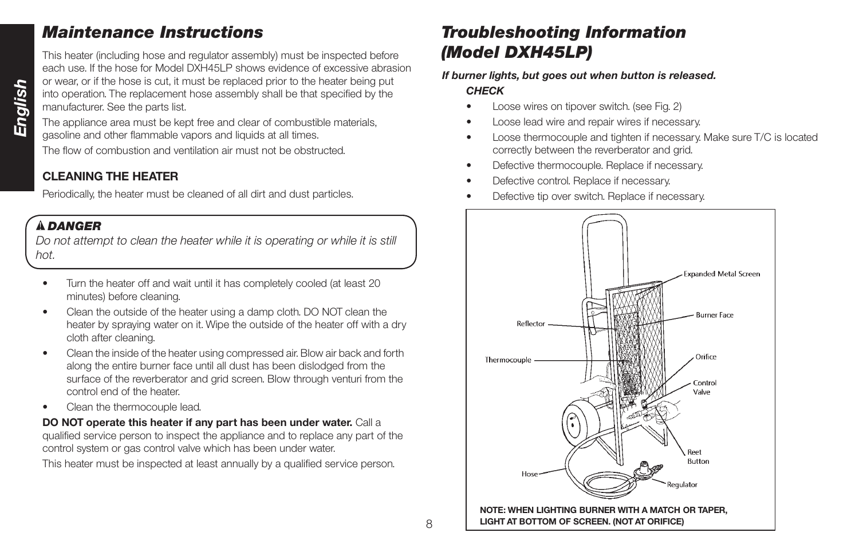# *Maintenance Instructions*

This heater (including hose and regulator assembly) must be inspected before each use. If the hose for Model DXH45LP shows evidence of excessive abrasion or wear, or if the hose is cut, it must be replaced prior to the heater being put into operation. The replacement hose assembly shall be that specified by the manufacturer. See the parts list.

The appliance area must be kept free and clear of combustible materials, gasoline and other flammable vapors and liquids at all times.

The flow of combustion and ventilation air must not be obstructed.

# **CLEANING THE HEATER**

Periodically, the heater must be cleaned of all dirt and dust particles.

# *DANGER*

*Do not attempt to clean the heater while it is operating or while it is still hot.*

- Turn the heater off and wait until it has completely cooled (at least 20 minutes) before cleaning.
- Clean the outside of the heater using a damp cloth. DO NOT clean the heater by spraying water on it. Wipe the outside of the heater off with a dry cloth after cleaning.
- Clean the inside of the heater using compressed air. Blow air back and forth along the entire burner face until all dust has been dislodged from the surface of the reverberator and grid screen. Blow through venturi from the control end of the heater.
- Clean the thermocouple lead.

**DO NOT operate this heater if any part has been under water.** Call a qualified service person to inspect the appliance and to replace any part of the control system or gas control valve which has been under water.

This heater must be inspected at least annually by a qualified service person.

# *Troubleshooting Information (Model DXH45LP)*

## *If burner lights, but goes out when button is released. CHECK*

- Loose wires on tipover switch. (see Fig. 2)
- Loose lead wire and repair wires if necessary.
- Loose thermocouple and tighten if necessary. Make sure T/C is located correctly between the reverberator and grid.
- Defective thermocouple. Replace if necessary.
- Defective control. Replace if necessary.
- Defective tip over switch. Replace if necessary.

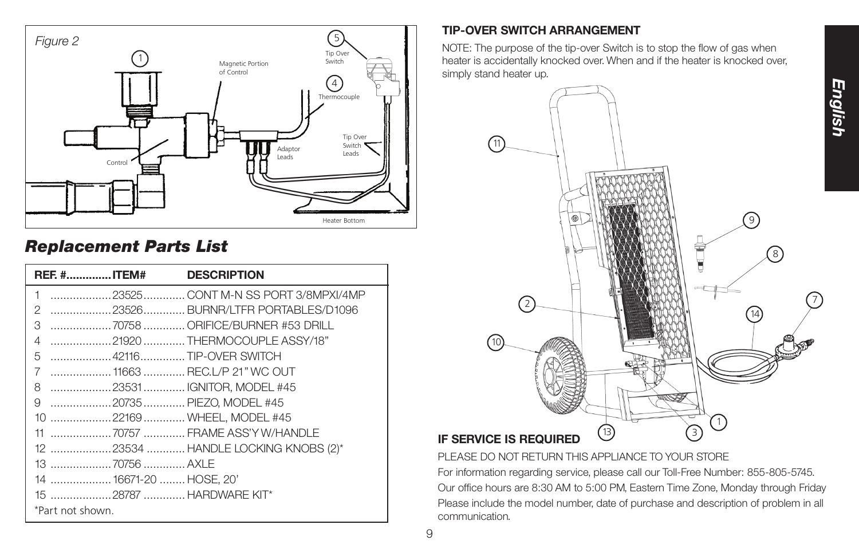

# *Replacement Parts List*

| <b>REF. #ITEM#</b>            | <b>DESCRIPTION</b>                  |
|-------------------------------|-------------------------------------|
| 1                             | 23525 CONT M-N SS PORT 3/8MPXI/4MP  |
| 2                             |                                     |
| 3                             | 70758  ORIFICE/BURNER #53 DRILL     |
| 4                             | 21920 THERMOCOUPLE ASSY/18"         |
| 42116TIP-OVER SWITCH<br>5     |                                     |
| 7                             |                                     |
| 23531 IGNITOR, MODEL #45<br>8 |                                     |
| 20735 PIEZO, MODEL #45<br>9   |                                     |
| 10 22169  WHEEL, MODEL #45    |                                     |
|                               |                                     |
|                               | 12 23534  HANDLE LOCKING KNOBS (2)* |
|                               |                                     |
| 14  16671-20  HOSE, 20'       |                                     |
| 15 28787  HARDWARE KIT*       |                                     |
| *Part not shown               |                                     |

# **TIP-OVER SWITCH ARRANGEMENT**

NOTE: The purpose of the tip-over Switch is to stop the flow of gas when heater is accidentally knocked over. When and if the heater is knocked over, simply stand heater up.



PLEASE DO NOT RETURN THIS APPLIANCE TO YOUR STORE

For information regarding service, please call our Toll-Free Number: 855-805-5745. Our office hours are 8:30 AM to 5:00 PM, Eastern Time Zone, Monday through Friday Please include the model number, date of purchase and description of problem in all communication.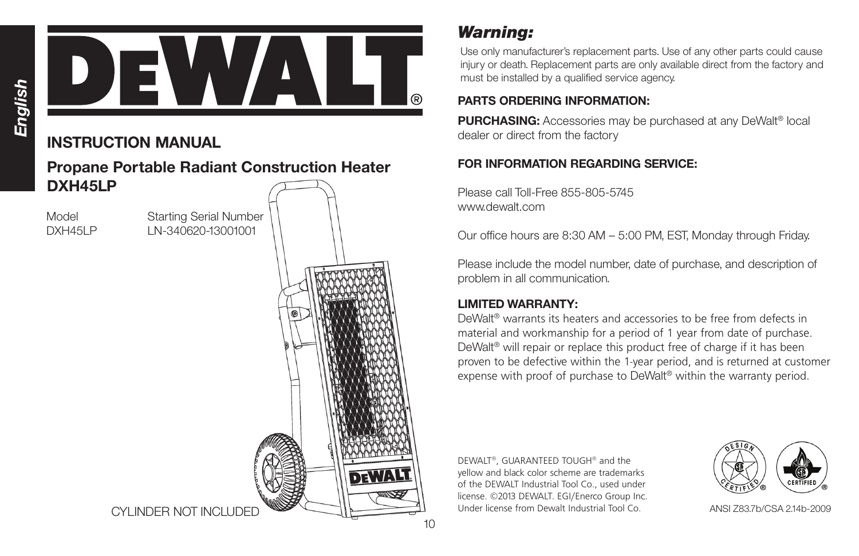

# **INSTRUCTION MANUAL**

# **Propane Portable Radiant Construction Heater DXH45LP**

Model Starting Serial Number DXH45LP LN-340620-13001001



*Warning:*

Use only manufacturer's replacement parts. Use of any other parts could cause injury or death. Replacement parts are only available direct from the factory and must be installed by a qualified service agency.

# **PARTS ORDERING INFORMATION:**

**PURCHASING:** Accessories may be purchased at any DeWalt<sup>®</sup> local dealer or direct from the factory

# **FOR INFORMATION REGARDING SERVICE:**

Please call Toll-Free 855-805-5745 www.dewalt.com

Our office hours are 8:30 AM – 5:00 PM, EST, Monday through Friday.

Please include the model number, date of purchase, and description of problem in all communication.

# **LIMITED WARRANTY:**

DeWalt® warrants its heaters and accessories to be free from defects in material and workmanship for a period of 1 year from date of purchase. DeWalt® will repair or replace this product free of charge if it has been proven to be defective within the 1-year period, and is returned at customer expense with proof of purchase to DeWalt® within the warranty period.

DEWALT®, GUARANTEED TOUGH® and the yellow and black color scheme are trademarks of the DEWALT Industrial Tool Co., used under license. ©2013 DEWALT. EGI/Enerco Group Inc. Under license from Dewalt Industrial Tool Co.



ANSI Z83.7b/CSA 2.14b-2009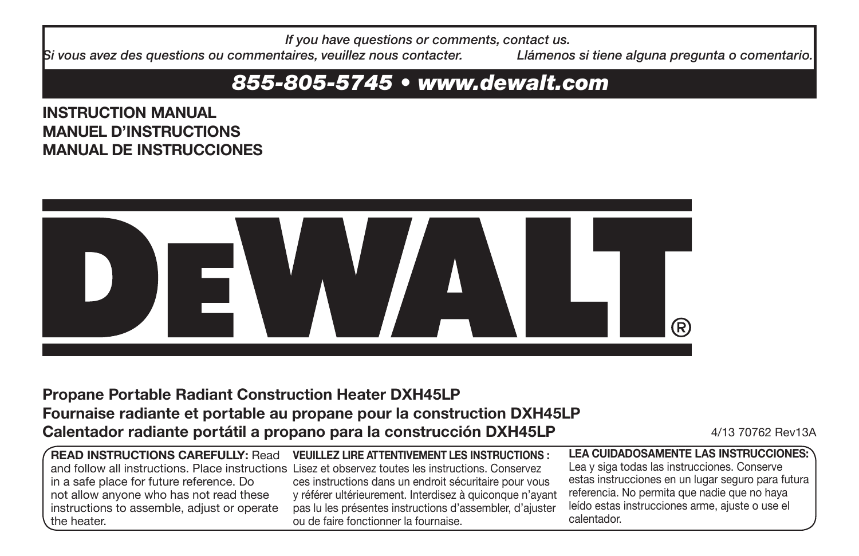*If you have questions or comments, contact us.*

*Si vous avez des questions ou commentaires, veuillez nous contacter. Llámenos si tiene alguna pregunta o comentario.*

# *855-805-5745 • www.dewalt.com*

**INSTRUCTION MANUAL MANUEL D'INSTRUCTIONS MANUAL DE INSTRUCCIONES**



# **Propane Portable Radiant Construction Heater DXH45LP Fournaise radiante et portable au propane pour la construction DXH45LP Calentador radiante portátil a propano para la construcción DXH45LP** 4/13 70762 Rev13A

| <b>READ INSTRUCTIONS CAREFULLY: Read</b>        |
|-------------------------------------------------|
| and follow all instructions. Place instructions |
| in a safe place for future reference. Do        |
| not allow anyone who has not read these         |
| instructions to assemble, adjust or operate     |
| the heater.                                     |

**VEUILLEZ LIRE ATTENTIVEMENT LES INSTRUCTIONS :** Lisez et observez toutes les instructions. Conservez ces instructions dans un endroit sécuritaire pour vous y référer ultérieurement. Interdisez à quiconque n'ayant pas lu les présentes instructions d'assembler, d'ajuster ou de faire fonctionner la fournaise.

**LEA CUIDADOSAMENTE LAS INSTRUCCIONES:**  Lea y siga todas las instrucciones. Conserve estas instrucciones en un lugar seguro para futura referencia. No permita que nadie que no haya leído estas instrucciones arme, ajuste o use el calentador.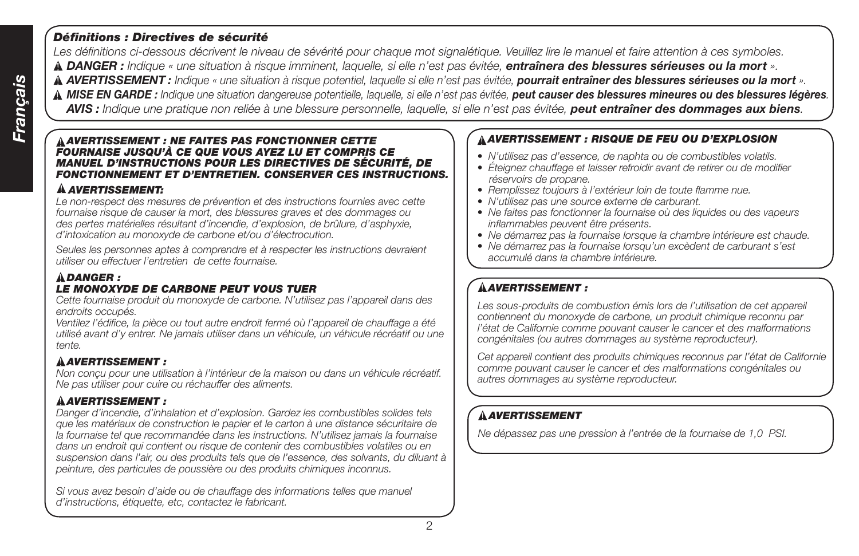## *Définitions : Directives de sécurité*

*Les définitions ci-dessous décrivent le niveau de sévérité pour chaque mot signalétique. Veuillez lire le manuel et faire attention à ces symboles. DANGER : Indique « une situation à risque imminent, laquelle, si elle n'est pas évitée, entraînera des blessures sérieuses ou la mort ». AVERTISSEMENT : Indique « une situation à risque potentiel, laquelle si elle n'est pas évitée, pourrait entraîner des blessures sérieuses ou la mort ». MISE EN GARDE : Indique une situation dangereuse potentielle, laquelle, si elle n'est pas évitée, peut causer des blessures mineures ou des blessures légères. AVIS : Indique une pratique non reliée à une blessure personnelle, laquelle, si elle n'est pas évitée, peut entraîner des dommages aux biens.*

## *AVERTISSEMENT : NE FAITES PAS FONCTIONNER CETTE FOURNAISE JUSQU'À CE QUE VOUS AYEZ LU ET COMPRIS CE MANUEL D'INSTRUCTIONS POUR LES DIRECTIVES DE SÉCURITÉ, DE FONCTIONNEMENT ET D'ENTRETIEN. CONSERVER CES INSTRUCTIONS.*

## *AVERTISSEMENT:*

*Le non-respect des mesures de prévention et des instructions fournies avec cette fournaise risque de causer la mort, des blessures graves et des dommages ou des pertes matérielles résultant d'incendie, d'explosion, de brûlure, d'asphyxie, d'intoxication au monoxyde de carbone et/ou d'électrocution.*

*Seules les personnes aptes à comprendre et à respecter les instructions devraient utiliser ou effectuer l'entretien de cette fournaise.*

## *DANGER : LE MONOXYDE DE CARBONE PEUT VOUS TUER*

*Cette fournaise produit du monoxyde de carbone. N'utilisez pas l'appareil dans des endroits occupés.*

*Ventilez l'édifice, la pièce ou tout autre endroit fermé où l'appareil de chauffage a été utilisé avant d'y entrer. Ne jamais utiliser dans un véhicule, un véhicule récréatif ou une tente.*

## *AVERTISSEMENT :*

*Non conçu pour une utilisation à l'intérieur de la maison ou dans un véhicule récréatif. Ne pas utiliser pour cuire ou réchauffer des aliments.*

## *AVERTISSEMENT :*

*Danger d'incendie, d'inhalation et d'explosion. Gardez les combustibles solides tels que les matériaux de construction le papier et le carton à une distance sécuritaire de*  la fournaise tel que recommandée dans les instructions. N'utilisez jamais la fournaise *dans un endroit qui contient ou risque de contenir des combustibles volatiles ou en suspension dans l'air, ou des produits tels que de l'essence, des solvants, du diluant à peinture, des particules de poussière ou des produits chimiques inconnus.*

*Si vous avez besoin d'aide ou de chauffage des informations telles que manuel d'instructions, étiquette, etc, contactez le fabricant.*

## *AVERTISSEMENT : RISQUE DE FEU OU D'EXPLOSION*

- *N'utilisez pas d'essence, de naphta ou de combustibles volatils.*
- *Éteignez chauffage et laisser refroidir avant de retirer ou de modifier réservoirs de propane.*
- *Remplissez toujours à l'extérieur loin de toute flamme nue.*
- *N'utilisez pas une source externe de carburant.*
- *Ne faites pas fonctionner la fournaise où des liquides ou des vapeurs inflammables peuvent être présents.*
- *Ne démarrez pas la fournaise lorsque la chambre intérieure est chaude.*
- *Ne démarrez pas la fournaise lorsqu'un excèdent de carburant s'est accumulé dans la chambre intérieure.*

# *AVERTISSEMENT :*

Les sous-produits de combustion émis lors de l'utilisation de cet appareil *contiennent du monoxyde de carbone, un produit chimique reconnu par l'état de Californie comme pouvant causer le cancer et des malformations congénitales (ou autres dommages au système reproducteur).*

*Cet appareil contient des produits chimiques reconnus par l'état de Californie comme pouvant causer le cancer et des malformations congénitales ou autres dommages au système reproducteur.*

# *AVERTISSEMENT*

*Ne dépassez pas une pression à l'entrée de la fournaise de 1,0 PSI.*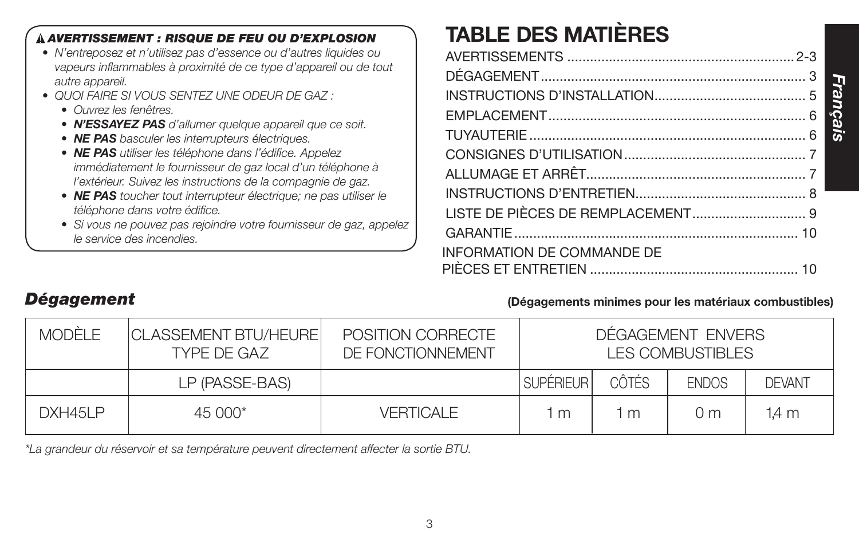## **TABLE DES MATIÈRES**  *AVERTISSEMENT : RISQUE DE FEU OU D'EXPLOSION • N'entreposez et n'utilisez pas d'essence ou d'autres liquides ou vapeurs inflammables à proximité de ce type d'appareil ou de tout autre appareil. • QUOI FAIRE SI VOUS SENTEZ UNE ODEUR DE GAZ : • Ouvrez les fenêtres. • N'ESSAYEZ PAS d'allumer quelque appareil que ce soit. • NE PAS basculer les interrupteurs électriques. • NE PAS utiliser les téléphone dans l'édifice. Appelez immédiatement le fournisseur de gaz local d'un téléphone à l'extérieur. Suivez les instructions de la compagnie de gaz. • NE PAS toucher tout interrupteur électrique; ne pas utiliser le téléphone dans votre édifice. • Si vous ne pouvez pas rejoindre votre fournisseur de gaz, appelez le service des incendies.*

# avertissements ............................................................ 2-3 DÉGAGEMENT...................................................................... 3 INSTRUCTIONS D'INSTALLATION........................................ 5 EMPLACEMENT.................................................................... 6 TUYAUTERIE ......................................................................... 6 CONSIGNES D'UTILIS ATION.

| <b>INFORMATION DE COMMANDE DE</b> |  |
|-----------------------------------|--|
|                                   |  |

# *Dégagement* **(Dégagements minimes pour les matériaux combustibles)**

*Français*

| <b>MODÈLE</b>   | <b>CLASSEMENT BTU/HEURE</b><br>TYPE DE GAZ | POSITION CORRECTE<br>DE FONCTIONNEMENT |                  |              | DÉGAGEMENT ENVERS<br><b>LES COMBUSTIBLES</b> |               |
|-----------------|--------------------------------------------|----------------------------------------|------------------|--------------|----------------------------------------------|---------------|
|                 | LP (PASSE-BAS)                             |                                        | <b>SUPÉRIEUR</b> | <b>CÔTÉS</b> | <b>ENDOS</b>                                 | <b>DEVANT</b> |
| <b>DXH45I P</b> | $45000*$                                   | <b>VERTICALE</b>                       | m                | m            | $()$ m                                       | 1.4 m         |

*\*La grandeur du réservoir et sa température peuvent directement affecter la sortie BTU.*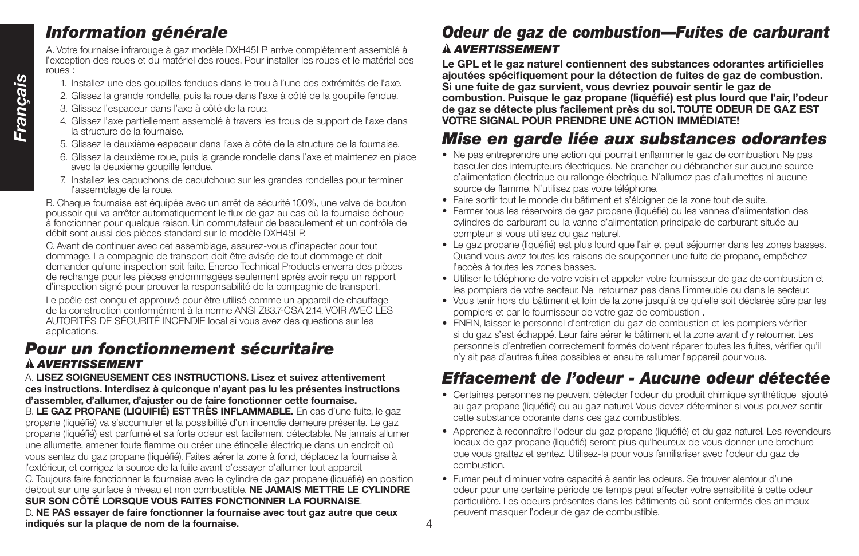# *Information générale*

A. Votre fournaise infrarouge à gaz modèle DXH45LP arrive complètement assemblé à l'exception des roues et du matériel des roues. Pour installer les roues et le matériel des roues :

- 1. Installez une des goupilles fendues dans le trou à l'une des extrémités de l'axe.
- 2. Glissez la grande rondelle, puis la roue dans l'axe à côté de la goupille fendue.
- 3. Glissez l'espaceur dans l'axe à côté de la roue.
- 4. Glissez l'axe partiellement assemblé à travers les trous de support de l'axe dans la structure de la fournaise.
- 5. Glissez le deuxième espaceur dans l'axe à côté de la structure de la fournaise.
- 6. Glissez la deuxième roue, puis la grande rondelle dans l'axe et maintenez en place avec la deuxième goupille fendue.
- 7. Installez les capuchons de caoutchouc sur les grandes rondelles pour terminer l'assemblage de la roue.

B. Chaque fournaise est équipée avec un arrêt de sécurité 100%, une valve de bouton poussoir qui va arrêter automatiquement le flux de gaz au cas où la fournaise échoue à fonctionner pour quelque raison. Un commutateur de basculement et un contrôle de débit sont aussi des pièces standard sur le modèle DXH45LP.

C. Avant de continuer avec cet assemblage, assurez-vous d'inspecter pour tout dommage. La compagnie de transport doit être avisée de tout dommage et doit demander qu'une inspection soit faite. Enerco Technical Products enverra des pièces de rechange pour les pièces endommagées seulement après avoir reçu un rapport d'inspection signé pour prouver la responsabilité de la compagnie de transport.

Le poêle est conçu et approuvé pour être utilisé comme un appareil de chauffage de la construction conformément à la norme ANSI Z83.7-CSA 2.14. VOIR AVEC LES AUTORITÉS DE SÉCURITÉ INCENDIE local si vous avez des questions sur les applications.

# *Pour un fonctionnement sécuritaire AVERTISSEMENT*

A. **LISEZ SOIGNEUSEMENT CES INSTRUCTIONS. Lisez et suivez attentivement ces instructions. Interdisez à quiconque n'ayant pas lu les présentes instructions d'assembler, d'allumer, d'ajuster ou de faire fonctionner cette fournaise.**

B. **LE GAZ PROPANE (LIQUIFIÉ) EST TRÈS INFLAMMABLE.** En cas d'une fuite, le gaz propane (liquéfié) va s'accumuler et la possibilité d'un incendie demeure présente. Le gaz propane (liquéfié) est parfumé et sa forte odeur est facilement détectable. Ne jamais allumer une allumette, amener toute flamme ou créer une étincelle électrique dans un endroit où vous sentez du gaz propane (liquéfié). Faites aérer la zone à fond, déplacez la fournaise à l'extérieur, et corrigez la source de la fuite avant d'essayer d'allumer tout appareil. C. Toujours faire fonctionner la fournaise avec le cylindre de gaz propane (liquéfié) en position debout sur une surface à niveau et non combustible. **NE JAMAIS METTRE LE CYLINDRE SUR SON CÔTÉ LORSQUE VOUS FAITES FONCTIONNER LA FOURNAISE**. D. **NE PAS essayer de faire fonctionner la fournaise avec tout gaz autre que ceux indiqués sur la plaque de nom de la fournaise.**

# *Odeur de gaz de combustion—Fuites de carburant AVERTISSEMENT*

**Le GPL et le gaz naturel contiennent des substances odorantes artificielles ajoutées spécifiquement pour la détection de fuites de gaz de combustion. Si une fuite de gaz survient, vous devriez pouvoir sentir le gaz de combustion. Puisque le gaz propane (liquéfié) est plus lourd que l'air, l'odeur de gaz se détecte plus facilement près du sol. TOUTE ODEUR DE GAZ EST VOTRE SIGNAL POUR PRENDRE UNE ACTION IMMÉDIATE!**

# *Mise en garde liée aux substances odorantes*

- Ne pas entreprendre une action qui pourrait enflammer le gaz de combustion. Ne pas basculer des interrupteurs électriques. Ne brancher ou débrancher sur aucune source d'alimentation électrique ou rallonge électrique. N'allumez pas d'allumettes ni aucune source de flamme. N'utilisez pas votre téléphone.
- Faire sortir tout le monde du bâtiment et s'éloigner de la zone tout de suite.
- Fermer tous les réservoirs de gaz propane (liquéfié) ou les vannes d'alimentation des cylindres de carburant ou la vanne d'alimentation principale de carburant située au compteur si vous utilisez du gaz naturel.
- Le gaz propane (liquéfié) est plus lourd que l'air et peut séjourner dans les zones basses. Quand vous avez toutes les raisons de soupçonner une fuite de propane, empêchez l'accès à toutes les zones basses.
- Utiliser le téléphone de votre voisin et appeler votre fournisseur de gaz de combustion et les pompiers de votre secteur. Ne retournez pas dans l'immeuble ou dans le secteur.
- Vous tenir hors du bâtiment et loin de la zone jusqu'à ce qu'elle soit déclarée sûre par les pompiers et par le fournisseur de votre gaz de combustion .
- ENFIN, laisser le personnel d'entretien du gaz de combustion et les pompiers vérifier si du gaz s'est échappé. Leur faire aérer le bâtiment et la zone avant d'y retourner. Les personnels d'entretien correctement formés doivent réparer toutes les fuites, vérifier qu'il n'y ait pas d'autres fuites possibles et ensuite rallumer l'appareil pour vous.

# *Effacement de l'odeur - Aucune odeur détectée*

- Certaines personnes ne peuvent détecter l'odeur du produit chimique synthétique ajouté au gaz propane (liquéfié) ou au gaz naturel. Vous devez déterminer si vous pouvez sentir cette substance odorante dans ces gaz combustibles.
- Apprenez à reconnaître l'odeur du gaz propane (liquéfié) et du gaz naturel. Les revendeurs locaux de gaz propane (liquéfié) seront plus qu'heureux de vous donner une brochure que vous grattez et sentez. Utilisez-la pour vous familiariser avec l'odeur du gaz de combustion.
- Fumer peut diminuer votre capacité à sentir les odeurs. Se trouver alentour d'une odeur pour une certaine période de temps peut affecter votre sensibilité à cette odeur particulière. Les odeurs présentes dans les bâtiments où sont enfermés des animaux peuvent masquer l'odeur de gaz de combustible.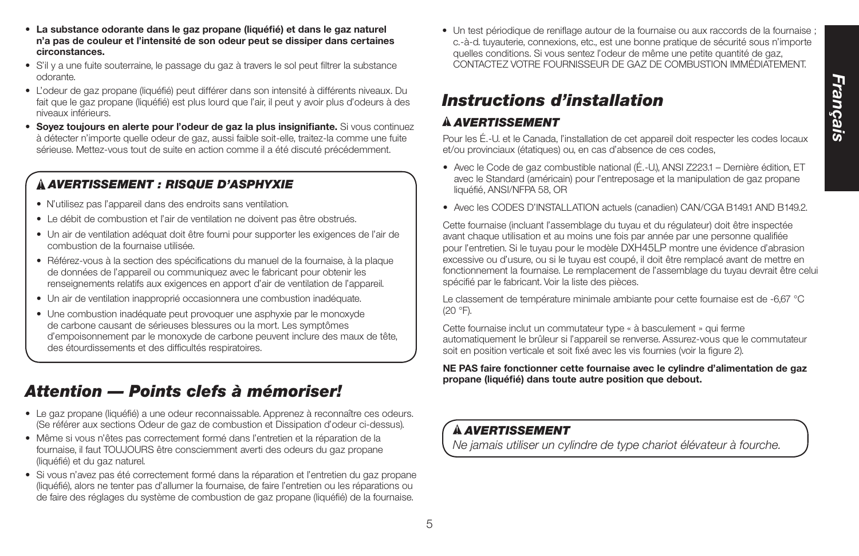- **La substance odorante dans le gaz propane (liquéfié) et dans le gaz naturel n'a pas de couleur et l'intensité de son odeur peut se dissiper dans certaines circonstances.**
- S'il y a une fuite souterraine, le passage du gaz à travers le sol peut filtrer la substance odorante.
- L'odeur de gaz propane (liquéfié) peut différer dans son intensité à différents niveaux. Du fait que le gaz propane (liquéfié) est plus lourd que l'air, il peut y avoir plus d'odeurs à des niveaux inférieurs.
- **Soyez toujours en alerte pour l'odeur de gaz la plus insignifiante.** Si vous continuez à détecter n'importe quelle odeur de gaz, aussi faible soit-elle, traitez-la comme une fuite sérieuse. Mettez-vous tout de suite en action comme il a été discuté précédemment.

# *AVERTISSEMENT : Risque d'asphyxie*

- N'utilisez pas l'appareil dans des endroits sans ventilation.
- Le débit de combustion et l'air de ventilation ne doivent pas être obstrués.
- Un air de ventilation adéquat doit être fourni pour supporter les exigences de l'air de combustion de la fournaise utilisée.
- Référez-vous à la section des spécifications du manuel de la fournaise, à la plaque de données de l'appareil ou communiquez avec le fabricant pour obtenir les renseignements relatifs aux exigences en apport d'air de ventilation de l'appareil.
- Un air de ventilation inapproprié occasionnera une combustion inadéquate.
- Une combustion inadéquate peut provoquer une asphyxie par le monoxyde de carbone causant de sérieuses blessures ou la mort. Les symptômes d'empoisonnement par le monoxyde de carbone peuvent inclure des maux de tête, des étourdissements et des difficultés respiratoires.

# *Attention — Points clefs à mémoriser!*

- Le gaz propane (liquéfié) a une odeur reconnaissable. Apprenez à reconnaître ces odeurs. (Se référer aux sections Odeur de gaz de combustion et Dissipation d'odeur ci-dessus).
- Même si vous n'êtes pas correctement formé dans l'entretien et la réparation de la fournaise, il faut TOUJOURS être consciemment averti des odeurs du gaz propane (liquéfié) et du gaz naturel.
- Si vous n'avez pas été correctement formé dans la réparation et l'entretien du gaz propane (liquéfié), alors ne tenter pas d'allumer la fournaise, de faire l'entretien ou les réparations ou de faire des réglages du système de combustion de gaz propane (liquéfié) de la fournaise.

• Un test périodique de reniflage autour de la fournaise ou aux raccords de la fournaise ; c.-à-d. tuyauterie, connexions, etc., est une bonne pratique de sécurité sous n'importe quelles conditions. Si vous sentez l'odeur de même une petite quantité de gaz, CONTACTEZ VOTRE FOURNISSEUR DE GAZ DE COMBUSTION IMMÉDIATEMENT.

# *Instructions d'installation*

## *AVERTISSEMENT*

Pour les É.-U. et le Canada, l'installation de cet appareil doit respecter les codes locaux et/ou provinciaux (étatiques) ou, en cas d'absence de ces codes,

- Avec le Code de gaz combustible national (É.-U.), ANSI Z223.1 Dernière édition, ET avec le Standard (américain) pour l'entreposage et la manipulation de gaz propane liquéfié, ANSI/NFPA 58, OR
- Avec les CODES D'INSTALLATION actuels (canadien) CAN/CGA B149.1 AND B149.2.

Cette fournaise (incluant l'assemblage du tuyau et du régulateur) doit être inspectée avant chaque utilisation et au moins une fois par année par une personne qualifiée pour l'entretien. Si le tuyau pour le modèle DXH45LP montre une évidence d'abrasion excessive ou d'usure, ou si le tuyau est coupé, il doit être remplacé avant de mettre en fonctionnement la fournaise. Le remplacement de l'assemblage du tuyau devrait être celui spécifié par le fabricant. Voir la liste des pièces.

Le classement de température minimale ambiante pour cette fournaise est de -6,67 °C (20 °F).

Cette fournaise inclut un commutateur type « à basculement » qui ferme automatiquement le brûleur si l'appareil se renverse. Assurez-vous que le commutateur soit en position verticale et soit fixé avec les vis fournies (voir la figure 2).

## **NE PAS faire fonctionner cette fournaise avec le cylindre d'alimentation de gaz propane (liquéfié) dans toute autre position que debout.**

# *AVERTISSEMENT*

*Ne jamais utiliser un cylindre de type chariot élévateur à fourche.*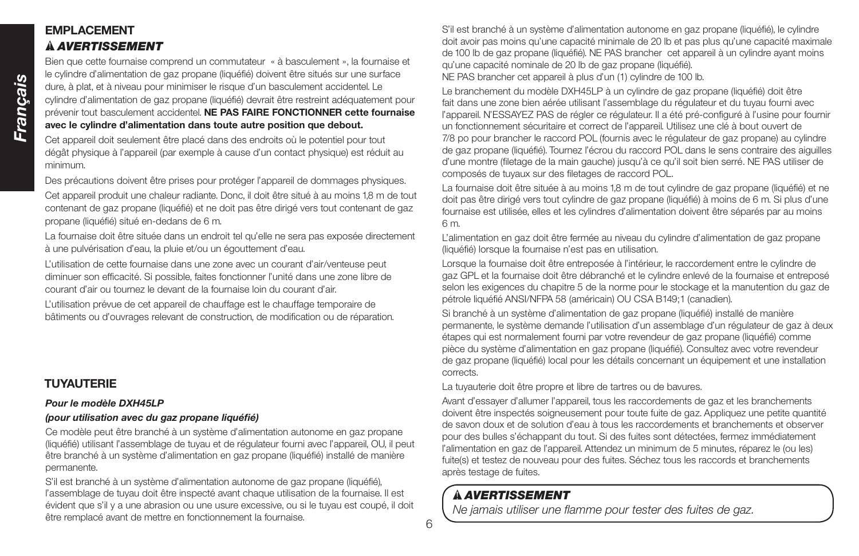# *Français*

## **EMPLACEMENT**  *AVERTISSEMENT*

Bien que cette fournaise comprend un commutateur « à basculement », la fournaise et le cylindre d'alimentation de gaz propane (liquéfié) doivent être situés sur une surface dure, à plat, et à niveau pour minimiser le risque d'un basculement accidentel. Le cylindre d'alimentation de gaz propane (liquéfié) devrait être restreint adéquatement pour prévenir tout basculement accidentel. **NE PAS FAIRE FONCTIONNER cette fournaise avec le cylindre d'alimentation dans toute autre position que debout.**

Cet appareil doit seulement être placé dans des endroits où le potentiel pour tout dégât physique à l'appareil (par exemple à cause d'un contact physique) est réduit au minimum.

Des précautions doivent être prises pour protéger l'appareil de dommages physiques.

Cet appareil produit une chaleur radiante. Donc, il doit être situé à au moins 1,8 m de tout contenant de gaz propane (liquéfié) et ne doit pas être dirigé vers tout contenant de gaz propane (liquéfié) situé en-dedans de 6 m.

La fournaise doit être située dans un endroit tel qu'elle ne sera pas exposée directement à une pulvérisation d'eau, la pluie et/ou un égouttement d'eau.

L'utilisation de cette fournaise dans une zone avec un courant d'air/venteuse peut diminuer son efficacité. Si possible, faites fonctionner l'unité dans une zone libre de courant d'air ou tournez le devant de la fournaise loin du courant d'air.

L'utilisation prévue de cet appareil de chauffage est le chauffage temporaire de bâtiments ou d'ouvrages relevant de construction, de modification ou de réparation.

# **TUYAUTERIE**

## *Pour le modèle DXH45LP*

## *(pour utilisation avec du gaz propane liquéfié)*

Ce modèle peut être branché à un système d'alimentation autonome en gaz propane (liquéfié) utilisant l'assemblage de tuyau et de régulateur fourni avec l'appareil, OU, il peut être branché à un système d'alimentation en gaz propane (liquéfié) installé de manière permanente.

S'il est branché à un système d'alimentation autonome de gaz propane (liquéfié), l'assemblage de tuyau doit être inspecté avant chaque utilisation de la fournaise. Il est évident que s'il y a une abrasion ou une usure excessive, ou si le tuyau est coupé, il doit être remplacé avant de mettre en fonctionnement la fournaise.

S'il est branché à un système d'alimentation autonome en gaz propane (liquéfié), le cylindre doit avoir pas moins qu'une capacité minimale de 20 lb et pas plus qu'une capacité maximale de 100 lb de gaz propane (liquéfié). NE PAS brancher cet appareil à un cylindre ayant moins qu'une capacité nominale de 20 lb de gaz propane (liquéfié). NE PAS brancher cet appareil à plus d'un (1) cylindre de 100 lb.

Le branchement du modèle DXH45LP à un cylindre de gaz propane (liquéfié) doit être fait dans une zone bien aérée utilisant l'assemblage du régulateur et du tuyau fourni avec l'appareil. N'ESSAYEZ PAS de régler ce régulateur. Il a été pré-configuré à l'usine pour fournir un fonctionnement sécuritaire et correct de l'appareil. Utilisez une clé à bout ouvert de 7/8 po pour brancher le raccord POL (fournis avec le régulateur de gaz propane) au cylindre de gaz propane (liquéfié). Tournez l'écrou du raccord POL dans le sens contraire des aiguilles d'une montre (filetage de la main gauche) jusqu'à ce qu'il soit bien serré. NE PAS utiliser de composés de tuyaux sur des filetages de raccord POL.

La fournaise doit être située à au moins 1,8 m de tout cylindre de gaz propane (liquéfié) et ne doit pas être dirigé vers tout cylindre de gaz propane (liquéfié) à moins de 6 m. Si plus d'une fournaise est utilisée, elles et les cylindres d'alimentation doivent être séparés par au moins 6 m.

L'alimentation en gaz doit être fermée au niveau du cylindre d'alimentation de gaz propane (liquéfié) lorsque la fournaise n'est pas en utilisation.

Lorsque la fournaise doit être entreposée à l'intérieur, le raccordement entre le cylindre de gaz GPL et la fournaise doit être débranché et le cylindre enlevé de la fournaise et entreposé selon les exigences du chapitre 5 de la norme pour le stockage et la manutention du gaz de pétrole liquéfié ANSI/NFPA 58 (américain) OU CSA B149;1 (canadien).

Si branché à un système d'alimentation de gaz propane (liquéfié) installé de manière permanente, le système demande l'utilisation d'un assemblage d'un régulateur de gaz à deux étapes qui est normalement fourni par votre revendeur de gaz propane (liquéfié) comme pièce du système d'alimentation en gaz propane (liquéfié). Consultez avec votre revendeur de gaz propane (liquéfié) local pour les détails concernant un équipement et une installation corrects.

La tuyauterie doit être propre et libre de tartres ou de bavures.

Avant d'essayer d'allumer l'appareil, tous les raccordements de gaz et les branchements doivent être inspectés soigneusement pour toute fuite de gaz. Appliquez une petite quantité de savon doux et de solution d'eau à tous les raccordements et branchements et observer pour des bulles s'échappant du tout. Si des fuites sont détectées, fermez immédiatement l'alimentation en gaz de l'appareil. Attendez un minimum de 5 minutes, réparez le (ou les) fuite(s) et testez de nouveau pour des fuites. Séchez tous les raccords et branchements après testage de fuites.

# *AVERTISSEMENT*

*Ne jamais utiliser une flamme pour tester des fuites de gaz.*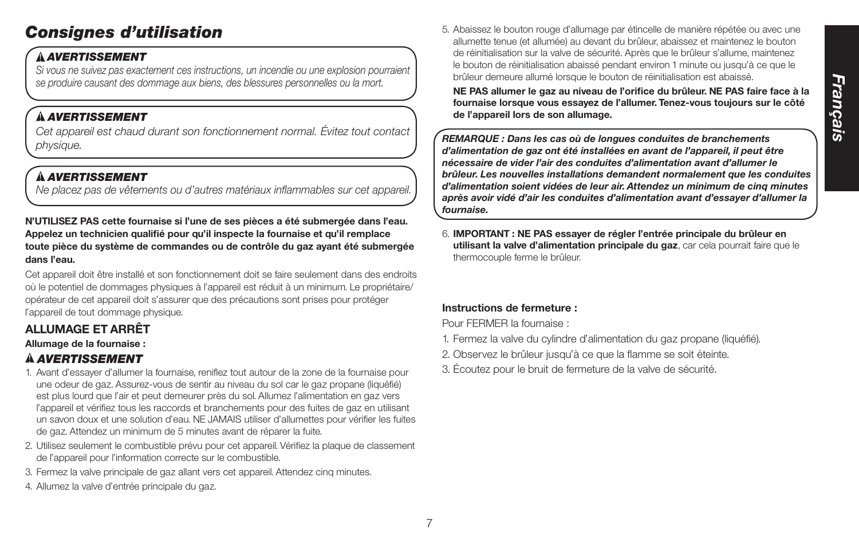# *Consignes d'utilisation*

## *AVERTISSEMENT*

*Si vous ne suivez pas exactement ces instructions, un incendie ou une explosion pourraient se produire causant des dommage aux biens, des blessures personnelles ou la mort.*

## *AVERTISSEMENT*

*Cet appareil est chaud durant son fonctionnement normal. Évitez tout contact physique.*

# *AVERTISSEMENT*

*Ne placez pas de vêtements ou d'autres matériaux inflammables sur cet appareil.*

**N'UTILISEZ PAS cette fournaise si l'une de ses pièces a été submergée dans l'eau. Appelez un technicien qualifié pour qu'il inspecte la fournaise et qu'il remplace toute pièce du système de commandes ou de contrôle du gaz ayant été submergée dans l'eau.**

Cet appareil doit être installé et son fonctionnement doit se faire seulement dans des endroits où le potentiel de dommages physiques à l'appareil est réduit à un minimum. Le propriétaire/ opérateur de cet appareil doit s'assurer que des précautions sont prises pour protéger l'appareil de tout dommage physique.

# **ALLUMAGE ET ARRÊT**

## **Allumage de la fournaise :**

# *AVERTISSEMENT*

- 1. Avant d'essayer d'allumer la fournaise, reniflez tout autour de la zone de la fournaise pour une odeur de gaz. Assurez-vous de sentir au niveau du sol car le gaz propane (liquéfié) est plus lourd que l'air et peut demeurer près du sol. Allumez l'alimentation en gaz vers l'appareil et vérifiez tous les raccords et branchements pour des fuites de gaz en utilisant un savon doux et une solution d'eau. NE JAMAIS utiliser d'allumettes pour vérifier les fuites de gaz. Attendez un minimum de 5 minutes avant de réparer la fuite.
- 2. Utilisez seulement le combustible prévu pour cet appareil. Vérifiez la plaque de classement de l'appareil pour l'information correcte sur le combustible.
- 3. Fermez la valve principale de gaz allant vers cet appareil. Attendez cinq minutes.
- 4. Allumez la valve d'entrée principale du gaz.

5. Abaissez le bouton rouge d'allumage par étincelle de manière répétée ou avec une allumette tenue (et allumée) au devant du brûleur, abaissez et maintenez le bouton de réinitialisation sur la valve de sécurité. Après que le brûleur s'allume, maintenez le bouton de réinitialisation abaissé pendant environ 1 minute ou jusqu'à ce que le brûleur demeure allumé lorsque le bouton de réinitialisation est abaissé.

**NE PAS allumer le gaz au niveau de l'orifice du brûleur. NE PAS faire face à la fournaise lorsque vous essayez de l'allumer. Tenez-vous toujours sur le côté de l'appareil lors de son allumage.**

*REMARQUE : Dans les cas où de longues conduites de branchements d'alimentation de gaz ont été installées en avant de l'appareil, il peut être nécessaire de vider l'air des conduites d'alimentation avant d'allumer le brûleur. Les nouvelles installations demandent normalement que les conduites d'alimentation soient vidées de leur air. Attendez un minimum de cinq minutes après avoir vidé d'air les conduites d'alimentation avant d'essayer d'allumer la fournaise.*

6. **IMPORTANT : NE PAS essayer de régler l'entrée principale du brûleur en utilisant la valve d'alimentation principale du gaz**, car cela pourrait faire que le thermocouple ferme le brûleur.

## **Instructions de fermeture :**

Pour FERMER la fournaise :

- 1. Fermez la valve du cylindre d'alimentation du gaz propane (liquéfié).
- 2. Observez le brûleur jusqu'à ce que la flamme se soit éteinte.
- 3. Écoutez pour le bruit de fermeture de la valve de sécurité.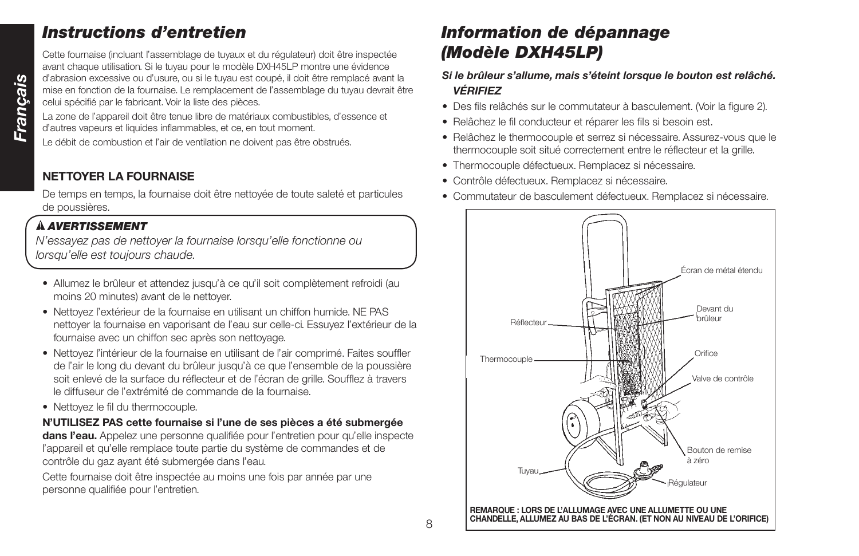# *Instructions d'entretien*

Cette fournaise (incluant l'assemblage de tuyaux et du régulateur) doit être inspectée avant chaque utilisation. Si le tuyau pour le modèle DXH45LP montre une évidence d'abrasion excessive ou d'usure, ou si le tuyau est coupé, il doit être remplacé avant la mise en fonction de la fournaise. Le remplacement de l'assemblage du tuyau devrait être celui spécifié par le fabricant. Voir la liste des pièces.

La zone de l'appareil doit être tenue libre de matériaux combustibles, d'essence et d'autres vapeurs et liquides inflammables, et ce, en tout moment.

Le débit de combustion et l'air de ventilation ne doivent pas être obstrués.

# **NETTOYER LA FOURNAISE**

De temps en temps, la fournaise doit être nettoyée de toute saleté et particules de poussières.

# *AVERTISSEMENT*

*N'essayez pas de nettoyer la fournaise lorsqu'elle fonctionne ou lorsqu'elle est toujours chaude.*

- Allumez le brûleur et attendez jusqu'à ce qu'il soit complètement refroidi (au moins 20 minutes) avant de le nettoyer.
- Nettoyez l'extérieur de la fournaise en utilisant un chiffon humide. NE PAS nettoyer la fournaise en vaporisant de l'eau sur celle-ci. Essuyez l'extérieur de la fournaise avec un chiffon sec après son nettoyage.
- Nettoyez l'intérieur de la fournaise en utilisant de l'air comprimé. Faites souffler de l'air le long du devant du brûleur jusqu'à ce que l'ensemble de la poussière soit enlevé de la surface du réflecteur et de l'écran de grille. Soufflez à travers le diffuseur de l'extrémité de commande de la fournaise.
- Nettoyez le fil du thermocouple.

# **N'UTILISEZ PAS cette fournaise si l'une de ses pièces a été submergée**

dans l'eau. Appelez une personne qualifiée pour l'entretien pour qu'elle inspecte l'appareil et qu'elle remplace toute partie du système de commandes et de contrôle du gaz ayant été submergée dans l'eau.

Cette fournaise doit être inspectée au moins une fois par année par une personne qualifiée pour l'entretien.

# *Information de dépannage (Modèle DXH45LP)*

## *Si le brûleur s'allume, mais s'éteint lorsque le bouton est relâché. VÉRIFIEZ*

- Des fils relâchés sur le commutateur à basculement. (Voir la figure 2).
- Relâchez le fil conducteur et réparer les fils si besoin est.
- Relâchez le thermocouple et serrez si nécessaire. Assurez-vous que le thermocouple soit situé correctement entre le réflecteur et la grille.
- Thermocouple défectueux. Remplacez si nécessaire.
- Contrôle défectueux. Remplacez si nécessaire.
- Commutateur de basculement défectueux. Remplacez si nécessaire.

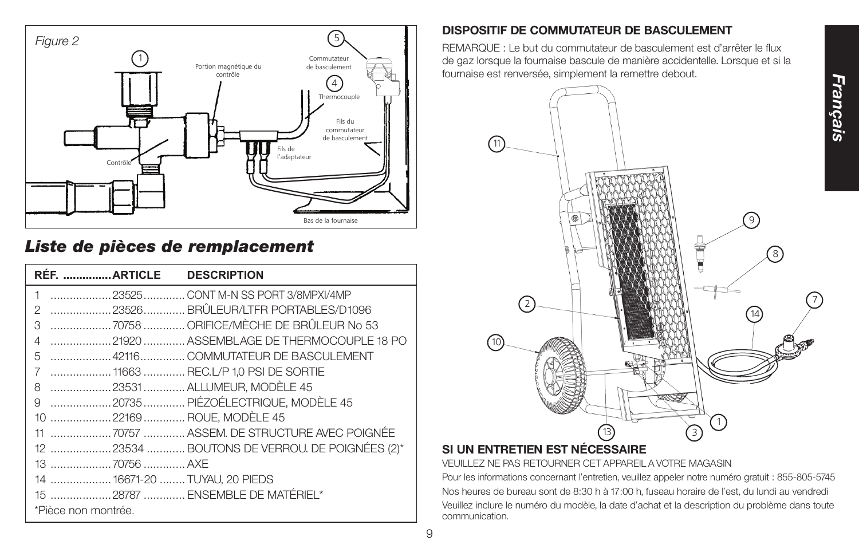

# *Liste de pièces de remplacement*

| RÉF. ARTICLE DESCRIPTION      |                                               |
|-------------------------------|-----------------------------------------------|
| $\mathbf{1}$                  | 23525 CONT M-N SS PORT 3/8MPXI/4MP            |
| 2                             | 23526BRÛLEUR/LTFR PORTABLES/D1096             |
| 3                             | 70758  ORIFICE/MÈCHE DE BRÛLEUR No 53         |
| 4                             | 21920  ASSEMBLAGE DE THERMOCOUPLE 18 PO       |
| 5                             | 42116 COMMUTATEUR DE BASCULEMENT              |
| 7                             |                                               |
| 8                             | 23531 ALLUMEUR, MODÈLE 45                     |
| 9                             | 20735 PIÉZOÉLECTRIQUE, MODÈLE 45              |
| 10 22169  ROUE, MODÈLE 45     |                                               |
|                               |                                               |
|                               | 12 23534  BOUTONS DE VERROU. DE POIGNÉES (2)* |
| 13 70756  AXE                 |                                               |
| 14  16671-20  TUYAU, 20 PIEDS |                                               |
|                               | 15 28787  ENSEMBLE DE MATÉRIEL*               |
| *Pièce non montrée.           |                                               |

## **DISPOSITIF DE COMMUTATEUR DE BASCULEMENT**

REMARQUE : Le but du commutateur de basculement est d'arrêter le flux de gaz lorsque la fournaise bascule de manière accidentelle. Lorsque et si la fournaise est renversée, simplement la remettre debout.



# **SI UN ENTRETIEN EST NÉCESSAIRE**

VEUILLEZ NE PAS RETOURNER CET APPAREIL A VOTRE MAGASIN

Pour les informations concernant l'entretien, veuillez appeler notre numéro gratuit : 855-805-5745 Nos heures de bureau sont de 8:30 h à 17:00 h, fuseau horaire de l'est, du lundi au vendredi Veuillez inclure le numéro du modèle, la date d'achat et la description du problème dans toute communication.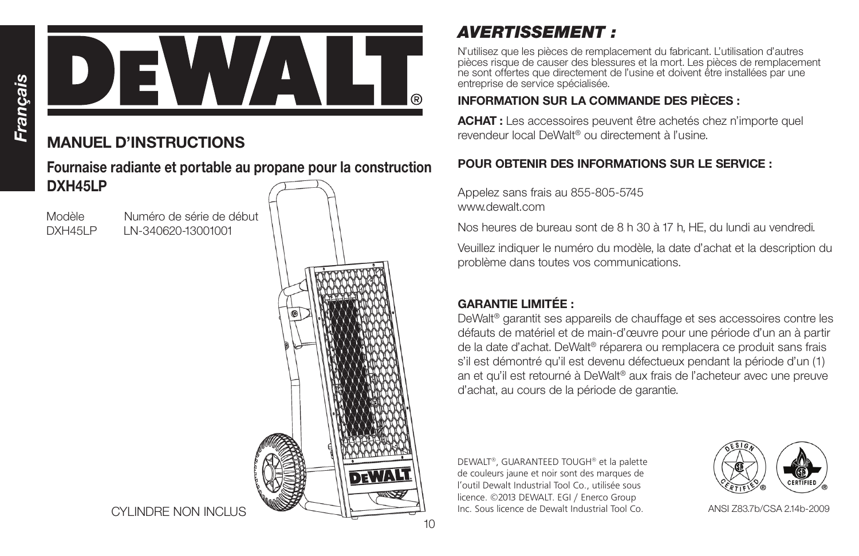

# **MANUEL D'INSTRUCTIONS**

**Fournaise radiante et portable au propane pour la construction DXH45LP**

Modèle Numéro de série de début DXH45LP LN-340620-13001001



CYLINDRE NON INCLUS

# *AVERTISSEMENT :*

N'utilisez que les pièces de remplacement du fabricant. L'utilisation d'autres pièces risque de causer des blessures et la mort. Les pièces de remplacement ne sont offertes que directement de l'usine et doivent être installées par une entreprise de service spécialisée.

# **INFORMATION SUR LA COMMANDE DES PIÈCES :**

**ACHAT :** Les accessoires peuvent être achetés chez n'importe quel revendeur local DeWalt® ou directement à l'usine.

# **POUR OBTENIR DES INFORMATIONS SUR LE SERVICE :**

Appelez sans frais au 855-805-5745 www.dewalt.com

Nos heures de bureau sont de 8 h 30 à 17 h, HE, du lundi au vendredi.

Veuillez indiquer le numéro du modèle, la date d'achat et la description du problème dans toutes vos communications.

# **GARANTIE LIMITÉE :**

DeWalt® garantit ses appareils de chauffage et ses accessoires contre les défauts de matériel et de main-d'œuvre pour une période d'un an à partir de la date d'achat. DeWalt® réparera ou remplacera ce produit sans frais s'il est démontré qu'il est devenu défectueux pendant la période d'un (1) an et qu'il est retourné à DeWalt® aux frais de l'acheteur avec une preuve d'achat, au cours de la période de garantie.

DEWALT®, GUARANTEED TOUGH® et la palette de couleurs jaune et noir sont des marques de l'outil Dewalt Industrial Tool Co., utilisée sous licence. ©2013 DEWALT. EGI / Enerco Group Inc. Sous licence de Dewalt Industrial Tool Co.



ANSI Z83.7b/CSA 2.14b-2009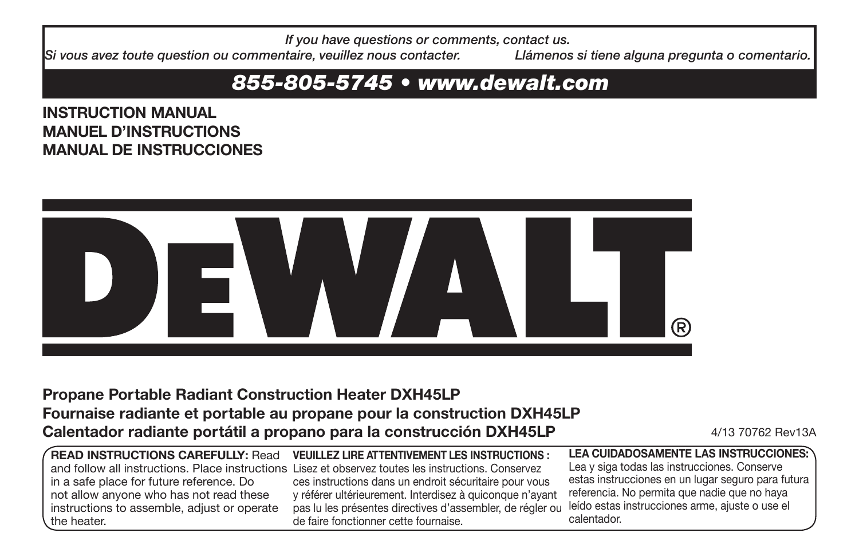*If you have questions or comments, contact us.*

*Si vous avez toute question ou commentaire, veuillez nous contacter. Llámenos si tiene alguna pregunta o comentario.*

# *855-805-5745 • www.dewalt.com*

**INSTRUCTION MANUAL MANUEL D'INSTRUCTIONS MANUAL DE INSTRUCCIONES**



# **Propane Portable Radiant Construction Heater DXH45LP Fournaise radiante et portable au propane pour la construction DXH45LP Calentador radiante portátil a propano para la construcción DXH45LP** 4/13 70762 Rev13A

|                                             | $\sqrt{\,}$ READ INSTRUCTIONS CAREFULLY: <code>Read VEU</code> ILLEZ LIRE ATTENTIVEMENT LES INSTRUCTIONS : |
|---------------------------------------------|------------------------------------------------------------------------------------------------------------|
|                                             | and follow all instructions. Place instructions Lisez et observez toutes les instructions. Conservez       |
| in a safe place for future reference. Do    | ces instructions dans un endroit sécuritaire pour vous                                                     |
| not allow anyone who has not read these     | y référer ultérieurement. Interdisez à quiconque n'ayant                                                   |
| instructions to assemble, adjust or operate | pas lu les présentes directives d'assembler, de régler ou                                                  |
| the heater.                                 | de faire fonctionner cette fournaise.                                                                      |

**LEA CUIDADOSAMENTE LAS INSTRUCCIONES:**  Lea y siga todas las instrucciones. Conserve estas instrucciones en un lugar seguro para futura referencia. No permita que nadie que no haya leído estas instrucciones arme, ajuste o use el calentador.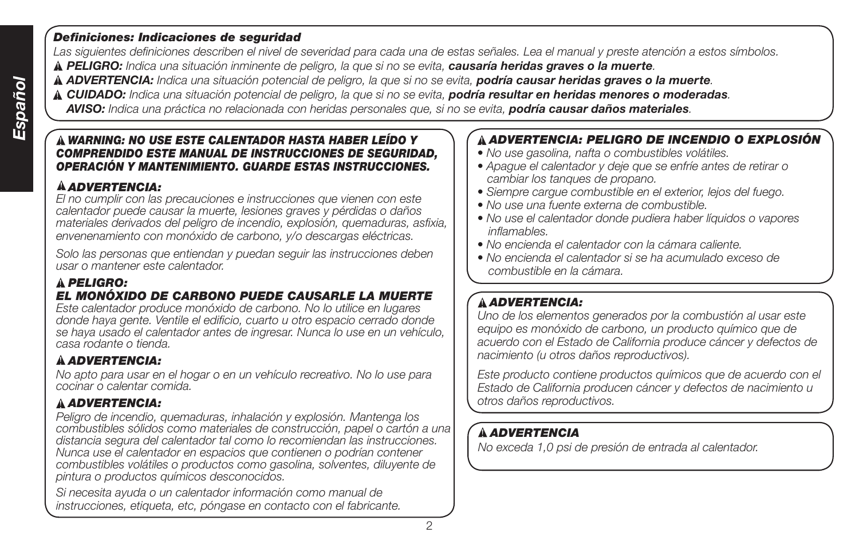## *Definiciones: Indicaciones de seguridad*

*Las siguientes definiciones describen el nivel de severidad para cada una de estas señales. Lea el manual y preste atención a estos símbolos.*

 *PELIGRO: Indica una situación inminente de peligro, la que si no se evita, causaría heridas graves o la muerte.*

 *ADVERTENCIA: Indica una situación potencial de peligro, la que si no se evita, podría causar heridas graves o la muerte.*

 *CUIDADO: Indica una situación potencial de peligro, la que si no se evita, podría resultar en heridas menores o moderadas.*

 *AVISO: Indica una práctica no relacionada con heridas personales que, si no se evita, podría causar daños materiales.*

## *WARNING: NO USE ESTE CALENTADOR HASTA HABER LEÍDO Y COMPRENDIDO ESTE MANUAL DE INSTRUCCIONES DE SEGURIDAD, OPERACIÓN Y MANTENIMIENTO. GUARDE ESTAS INSTRUCCIONES.*

# *ADVERTENCIA:*

*El no cumplir con las precauciones e instrucciones que vienen con este calentador puede causar la muerte, lesiones graves y pérdidas o daños materiales derivados del peligro de incendio, explosión, quemaduras, asfixia, envenenamiento con monóxido de carbono, y/o descargas eléctricas.*

*Solo las personas que entiendan y puedan seguir las instrucciones deben usar o mantener este calentador.*

## *PELIGRO: EL MONÓXIDO DE CARBONO PUEDE CAUSARLE LA MUERTE*

*Este calentador produce monóxido de carbono. No lo utilice en lugares donde haya gente. Ventile el edificio, cuarto u otro espacio cerrado donde se haya usado el calentador antes de ingresar. Nunca lo use en un vehículo, casa rodante o tienda.*

# *ADVERTENCIA:*

*No apto para usar en el hogar o en un vehículo recreativo. No lo use para cocinar o calentar comida.*

# *ADVERTENCIA:*

*Peligro de incendio, quemaduras, inhalación y explosión. Mantenga los combustibles sólidos como materiales de construcción, papel o cartón a una distancia segura del calentador tal como lo recomiendan las instrucciones. Nunca use el calentador en espacios que contienen o podrían contener combustibles volátiles o productos como gasolina, solventes, diluyente de pintura o productos químicos desconocidos.*

*Si necesita ayuda o un calentador información como manual de instrucciones, etiqueta, etc, póngase en contacto con el fabricante.*

# *ADVERTENCIA: PELIGRO DE INCENDIO O EXPLOSIÓN*

- *No use gasolina, nafta o combustibles volátiles.*
- *Apague el calentador y deje que se enfríe antes de retirar o cambiar los tanques de propano.*
- *Siempre cargue combustible en el exterior, lejos del fuego.*
- *No use una fuente externa de combustible.*
- *No use el calentador donde pudiera haber líquidos o vapores inflamables.*
- *No encienda el calentador con la cámara caliente.*
- *No encienda el calentador si se ha acumulado exceso de combustible en la cámara.*

# *ADVERTENCIA:*

*Uno de los elementos generados por la combustión al usar este equipo es monóxido de carbono, un producto químico que de acuerdo con el Estado de California produce cáncer y defectos de nacimiento (u otros daños reproductivos).*

*Este producto contiene productos químicos que de acuerdo con el Estado de California producen cáncer y defectos de nacimiento u otros daños reproductivos.*

# *ADVERTENCIA*

*No exceda 1,0 psi de presión de entrada al calentador.*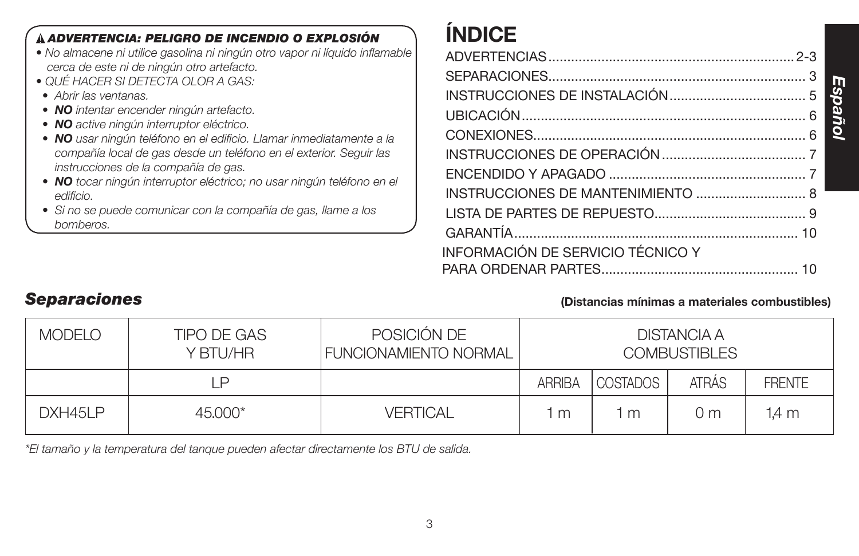| À ADVERTENCIA: PELIGRO DE INCENDIO O EXPLOSIÓN<br>• No almacene ni utilice gasolina ni ningún otro vapor ni líquido inflamable<br>cerca de este ni de ningún otro artefacto.<br>• QUÉ HACER SI DETECTA OLOR A GAS:<br>• Abrir las ventanas.<br>• NO intentar encender ningún artefacto.<br>• NO active ningún interruptor eléctrico.<br>· NO usar ningún teléfono en el edificio. Llamar inmediatamente a la<br>compañía local de gas desde un teléfono en el exterior. Seguir las<br>instrucciones de la compañía de gas.<br>· NO tocar ningún interruptor eléctrico; no usar ningún teléfono en el<br>edificio.<br>• Si no se puede comunicar con la compañía de gas, llame a los<br>bomberos. | <b>INDICE</b><br>INSTRUCCIONES DE MANTENIMIENTO  8 |  |
|--------------------------------------------------------------------------------------------------------------------------------------------------------------------------------------------------------------------------------------------------------------------------------------------------------------------------------------------------------------------------------------------------------------------------------------------------------------------------------------------------------------------------------------------------------------------------------------------------------------------------------------------------------------------------------------------------|----------------------------------------------------|--|
|                                                                                                                                                                                                                                                                                                                                                                                                                                                                                                                                                                                                                                                                                                  | INFORMACIÓN DE SERVICIO TÉCNICO Y                  |  |

# *Separaciones* **(Distancias mínimas a materiales combustibles)**

*Español*

| <b>MODELO</b> | <b>TIPO DE GAS</b><br>Y BTU/HR | POSICIÓN DE<br><b>FUNCIONAMIENTO NORMAL</b> |               |                 | DISTANCIA A<br><b>COMBUSTIBLES</b> |               |
|---------------|--------------------------------|---------------------------------------------|---------------|-----------------|------------------------------------|---------------|
|               | P                              |                                             | <b>ARRIBA</b> | <b>COSTADOS</b> | <b>ATRÁS</b>                       | <b>FRENTE</b> |
| DXH45LP       | $45.000*$                      | <b>VERTICAL</b>                             | m             | m               | () m                               | 1.4 m         |

*\*El tamaño y la temperatura del tanque pueden afectar directamente los BTU de salida.*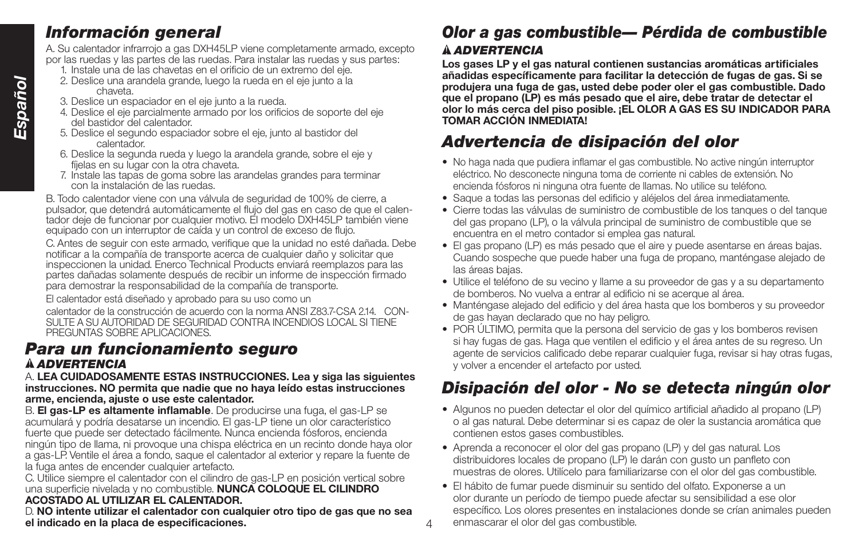# *Información general*

A. Su calentador infrarrojo a gas DXH45LP viene completamente armado, excepto por las ruedas y las partes de las ruedas. Para instalar las ruedas y sus partes:

- 1. Instale una de las chavetas en el orificio de un extremo del eje.
- 2. Deslice una arandela grande, luego la rueda en el eje junto a la chaveta.
- 3. Deslice un espaciador en el eje junto a la rueda.
- 4. Deslice el eje parcialmente armado por los orificios de soporte del eje del bastidor del calentador.
- 5. Deslice el segundo espaciador sobre el eje, junto al bastidor del calentador.
- 6. Deslice la segunda rueda y luego la arandela grande, sobre el eje y fíjelas en su lugar con la otra chaveta.
- 7. Instale las tapas de goma sobre las arandelas grandes para terminar con la instalación de las ruedas.

B. Todo calentador viene con una válvula de seguridad de 100% de cierre, a pulsador, que detendrá automáticamente el flujo del gas en caso de que el calentador deje de funcionar por cualquier motivo. El modelo DXH45LP también viene equipado con un interruptor de caída y un control de exceso de flujo.

C. Antes de seguir con este armado, verifique que la unidad no esté dañada. Debe notificar a la compañía de transporte acerca de cualquier daño y solicitar que inspeccionen la unidad. Enerco Technical Products enviará reemplazos para las partes dañadas solamente después de recibir un informe de inspección firmado para demostrar la responsabilidad de la compañía de transporte.

El calentador está diseñado y aprobado para su uso como un

calentador de la construcción de acuerdo con la norma ANSI Z83.7-CSA 2.14. CON-SULTE A SU AUTORIDAD DE SEGURIDAD CONTRA INCENDIOS LOCAL SI TIENE PREGUNTAS SOBRE APLICACIONES.

# *Para un funcionamiento seguro ADVERTENCIA*

## A. **LEA CUIDADOSAMENTE ESTAS INSTRUCCIONES. Lea y siga las siguientes instrucciones. NO permita que nadie que no haya leído estas instrucciones arme, encienda, ajuste o use este calentador.**

B. **El gas-LP es altamente inflamable**. De producirse una fuga, el gas-LP se acumulará y podría desatarse un incendio. El gas-LP tiene un olor característico fuerte que puede ser detectado fácilmente. Nunca encienda fósforos, encienda ningún tipo de llama, ni provoque una chispa eléctrica en un recinto donde haya olor a gas-LP. Ventile el área a fondo, saque el calentador al exterior y repare la fuente de la fuga antes de encender cualquier artefacto.

C. Utilice siempre el calentador con el cilindro de gas-LP en posición vertical sobre una superficie nivelada y no combustible. **NUNCA COLOQUE EL CILINDRO ACOSTADO AL UTILIZAR EL CALENTADOR.**

D. **NO intente utilizar el calentador con cualquier otro tipo de gas que no sea el indicado en la placa de especificaciones.**

4

# *Olor a gas combustible— Pérdida de combustible ADVERTENCIA*

**Los gases LP y el gas natural contienen sustancias aromáticas artificiales añadidas específicamente para facilitar la detección de fugas de gas. Si se produjera una fuga de gas, usted debe poder oler el gas combustible. Dado que el propano (LP) es más pesado que el aire, debe tratar de detectar el olor lo más cerca del piso posible. ¡EL OLOR A GAS ES SU INDICADOR PARA TOMAR ACCIÓN INMEDIATA!**

# *Advertencia de disipación del olor*

- No haga nada que pudiera inflamar el gas combustible. No active ningún interruptor eléctrico. No desconecte ninguna toma de corriente ni cables de extensión. No encienda fósforos ni ninguna otra fuente de llamas. No utilice su teléfono.
- Saque a todas las personas del edificio y aléjelos del área inmediatamente.
- Cierre todas las válvulas de suministro de combustible de los tanques o del tanque del gas propano (LP), o la válvula principal de suministro de combustible que se encuentra en el metro contador si emplea gas natural.
- El gas propano (LP) es más pesado que el aire y puede asentarse en áreas bajas. Cuando sospeche que puede haber una fuga de propano, manténgase alejado de las áreas bajas.
- Utilice el teléfono de su vecino y llame a su proveedor de gas y a su departamento de bomberos. No vuelva a entrar al edificio ni se acerque al área.
- Manténgase alejado del edificio y del área hasta que los bomberos y su proveedor de gas hayan declarado que no hay peligro.
- POR ÚLTIMO, permita que la persona del servicio de gas y los bomberos revisen si hay fugas de gas. Haga que ventilen el edificio y el área antes de su regreso. Un agente de servicios calificado debe reparar cualquier fuga, revisar si hay otras fugas, y volver a encender el artefacto por usted.

# *Disipación del olor - No se detecta ningún olor*

- Algunos no pueden detectar el olor del químico artificial añadido al propano (LP) o al gas natural. Debe determinar si es capaz de oler la sustancia aromática que contienen estos gases combustibles.
- Aprenda a reconocer el olor del gas propano (LP) y del gas natural. Los distribuidores locales de propano (LP) le darán con gusto un panfleto con muestras de olores. Utilícelo para familiarizarse con el olor del gas combustible.
- El hábito de fumar puede disminuir su sentido del olfato. Exponerse a un olor durante un período de tiempo puede afectar su sensibilidad a ese olor específico. Los olores presentes en instalaciones donde se crían animales pueden enmascarar el olor del gas combustible.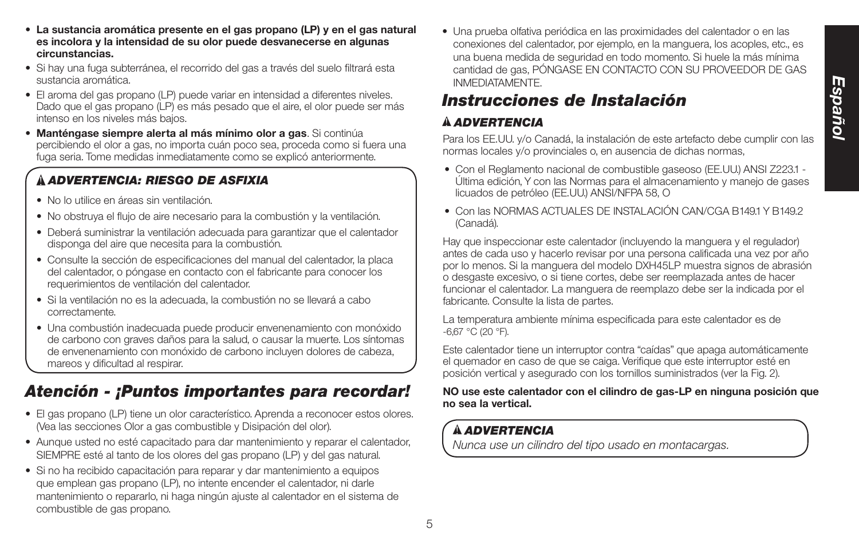- **La sustancia aromática presente en el gas propano (LP) y en el gas natural es incolora y la intensidad de su olor puede desvanecerse en algunas circunstancias.**
- Si hay una fuga subterránea, el recorrido del gas a través del suelo filtrará esta sustancia aromática.
- El aroma del gas propano (LP) puede variar en intensidad a diferentes niveles. Dado que el gas propano (LP) es más pesado que el aire, el olor puede ser más intenso en los niveles más bajos.
- **Manténgase siempre alerta al más mínimo olor a gas**. Si continúa percibiendo el olor a gas, no importa cuán poco sea, proceda como si fuera una fuga seria. Tome medidas inmediatamente como se explicó anteriormente.

# *ADVERTENCIA: RIESGO DE ASFIXIA*

- No lo utilice en áreas sin ventilación.
- No obstruya el flujo de aire necesario para la combustión y la ventilación.
- Deberá suministrar la ventilación adecuada para garantizar que el calentador disponga del aire que necesita para la combustión.
- Consulte la sección de especificaciones del manual del calentador, la placa del calentador, o póngase en contacto con el fabricante para conocer los requerimientos de ventilación del calentador.
- Si la ventilación no es la adecuada, la combustión no se llevará a cabo correctamente.
- Una combustión inadecuada puede producir envenenamiento con monóxido de carbono con graves daños para la salud, o causar la muerte. Los síntomas de envenenamiento con monóxido de carbono incluyen dolores de cabeza, mareos y dificultad al respirar.

# *Atención - ¡Puntos importantes para recordar!*

- El gas propano (LP) tiene un olor característico. Aprenda a reconocer estos olores. (Vea las secciones Olor a gas combustible y Disipación del olor).
- Aunque usted no esté capacitado para dar mantenimiento y reparar el calentador, SIEMPRE esté al tanto de los olores del gas propano (LP) y del gas natural.
- Si no ha recibido capacitación para reparar y dar mantenimiento a equipos que emplean gas propano (LP), no intente encender el calentador, ni darle mantenimiento o repararlo, ni haga ningún ajuste al calentador en el sistema de combustible de gas propano.

• Una prueba olfativa periódica en las proximidades del calentador o en las conexiones del calentador, por ejemplo, en la manguera, los acoples, etc., es una buena medida de seguridad en todo momento. Si huele la más mínima cantidad de gas, PÓNGASE EN CONTACTO CON SU PROVEEDOR DE GAS INMEDIATAMENTE.

# *Instrucciones de Instalación*

# *ADVERTENCIA*

Para los EE.UU. y/o Canadá, la instalación de este artefacto debe cumplir con las normas locales y/o provinciales o, en ausencia de dichas normas,

- Con el Reglamento nacional de combustible gaseoso (EE.UU.) ANSI Z223.1 Última edición, Y con las Normas para el almacenamiento y manejo de gases licuados de petróleo (EE.UU.) ANSI/NFPA 58, O
- Con las NORMAS ACTUALES DE INSTALACIÓN CAN/CGA B1491 Y B1492 (Canadá).

Hay que inspeccionar este calentador (incluyendo la manguera y el regulador) antes de cada uso y hacerlo revisar por una persona calificada una vez por año por lo menos. Si la manguera del modelo DXH45LP muestra signos de abrasión o desgaste excesivo, o si tiene cortes, debe ser reemplazada antes de hacer funcionar el calentador. La manguera de reemplazo debe ser la indicada por el fabricante. Consulte la lista de partes.

La temperatura ambiente mínima especificada para este calentador es de -6,67 °C (20 °F).

Este calentador tiene un interruptor contra "caídas" que apaga automáticamente el quemador en caso de que se caiga. Verifique que este interruptor esté en posición vertical y asegurado con los tornillos suministrados (ver la Fig. 2).

## **NO use este calentador con el cilindro de gas-LP en ninguna posición que no sea la vertical.**

# *ADVERTENCIA*

*Nunca use un cilindro del tipo usado en montacargas.*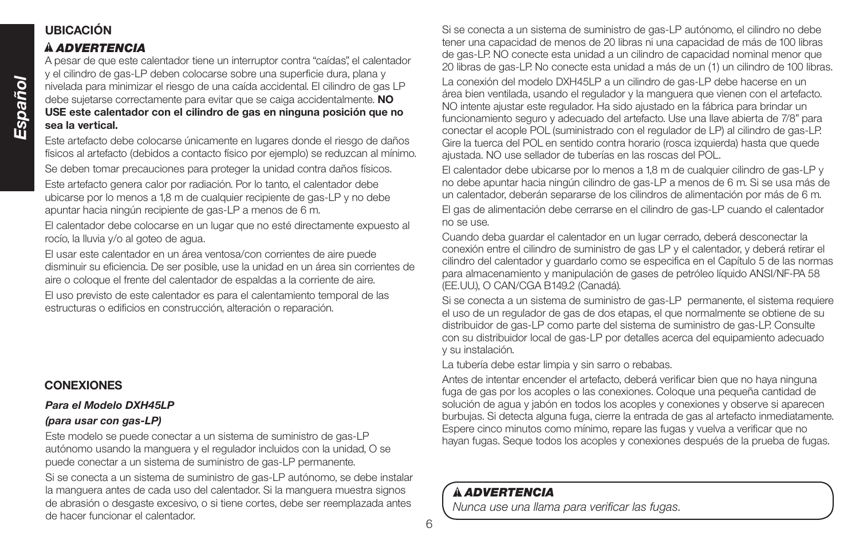# **UBICACIÓN**

## *ADVERTENCIA*

A pesar de que este calentador tiene un interruptor contra "caídas", el calentador y el cilindro de gas-LP deben colocarse sobre una superficie dura, plana y nivelada para minimizar el riesgo de una caída accidental. El cilindro de gas LP debe sujetarse correctamente para evitar que se caiga accidentalmente. **NO USE este calentador con el cilindro de gas en ninguna posición que no sea la vertical.**

Este artefacto debe colocarse únicamente en lugares donde el riesgo de daños físicos al artefacto (debidos a contacto físico por ejemplo) se reduzcan al mínimo.

Se deben tomar precauciones para proteger la unidad contra daños físicos.

Este artefacto genera calor por radiación. Por lo tanto, el calentador debe ubicarse por lo menos a 1,8 m de cualquier recipiente de gas-LP y no debe apuntar hacia ningún recipiente de gas-LP a menos de 6 m.

El calentador debe colocarse en un lugar que no esté directamente expuesto al rocío, la lluvia y/o al goteo de agua.

El usar este calentador en un área ventosa/con corrientes de aire puede disminuir su eficiencia. De ser posible, use la unidad en un área sin corrientes de aire o coloque el frente del calentador de espaldas a la corriente de aire.

El uso previsto de este calentador es para el calentamiento temporal de las estructuras o edificios en construcción, alteración o reparación.

# **CONEXIONES**

## *Para el Modelo DXH45LP*

## *(para usar con gas-LP)*

Este modelo se puede conectar a un sistema de suministro de gas-LP autónomo usando la manguera y el regulador incluidos con la unidad, O se puede conectar a un sistema de suministro de gas-LP permanente.

Si se conecta a un sistema de suministro de gas-LP autónomo, se debe instalar la manguera antes de cada uso del calentador. Si la manguera muestra signos de abrasión o desgaste excesivo, o si tiene cortes, debe ser reemplazada antes de hacer funcionar el calentador.

Si se conecta a un sistema de suministro de gas-LP autónomo, el cilindro no debe tener una capacidad de menos de 20 libras ni una capacidad de más de 100 libras de gas-LP. NO conecte esta unidad a un cilindro de capacidad nominal menor que 20 libras de gas-LP. No conecte esta unidad a más de un (1) un cilindro de 100 libras. La conexión del modelo DXH45LP a un cilindro de gas-LP debe hacerse en un área bien ventilada, usando el regulador y la manguera que vienen con el artefacto. NO intente ajustar este regulador. Ha sido ajustado en la fábrica para brindar un funcionamiento seguro y adecuado del artefacto. Use una llave abierta de 7/8" para conectar el acople POL (suministrado con el regulador de LP) al cilindro de gas-LP. Gire la tuerca del POL en sentido contra horario (rosca izquierda) hasta que quede ajustada. NO use sellador de tuberías en las roscas del POL.

El calentador debe ubicarse por lo menos a 1,8 m de cualquier cilindro de gas-LP y no debe apuntar hacia ningún cilindro de gas-LP a menos de 6 m. Si se usa más de un calentador, deberán separarse de los cilindros de alimentación por más de 6 m. El gas de alimentación debe cerrarse en el cilindro de gas-LP cuando el calentador no se use.

Cuando deba guardar el calentador en un lugar cerrado, deberá desconectar la conexión entre el cilindro de suministro de gas LP y el calentador, y deberá retirar el cilindro del calentador y guardarlo como se especifica en el Capítulo 5 de las normas para almacenamiento y manipulación de gases de petróleo líquido ANSI/NF-PA 58 (EE.UU.), O CAN/CGA B149.2 (Canadá).

Si se conecta a un sistema de suministro de gas-LP permanente, el sistema requiere el uso de un regulador de gas de dos etapas, el que normalmente se obtiene de su distribuidor de gas-LP como parte del sistema de suministro de gas-LP. Consulte con su distribuidor local de gas-LP por detalles acerca del equipamiento adecuado y su instalación.

La tubería debe estar limpia y sin sarro o rebabas.

Antes de intentar encender el artefacto, deberá verificar bien que no haya ninguna fuga de gas por los acoples o las conexiones. Coloque una pequeña cantidad de solución de agua y jabón en todos los acoples y conexiones y observe si aparecen burbujas. Si detecta alguna fuga, cierre la entrada de gas al artefacto inmediatamente. Espere cinco minutos como mínimo, repare las fugas y vuelva a verificar que no hayan fugas. Seque todos los acoples y conexiones después de la prueba de fugas.

# *ADVERTENCIA*

*Nunca use una llama para verificar las fugas.*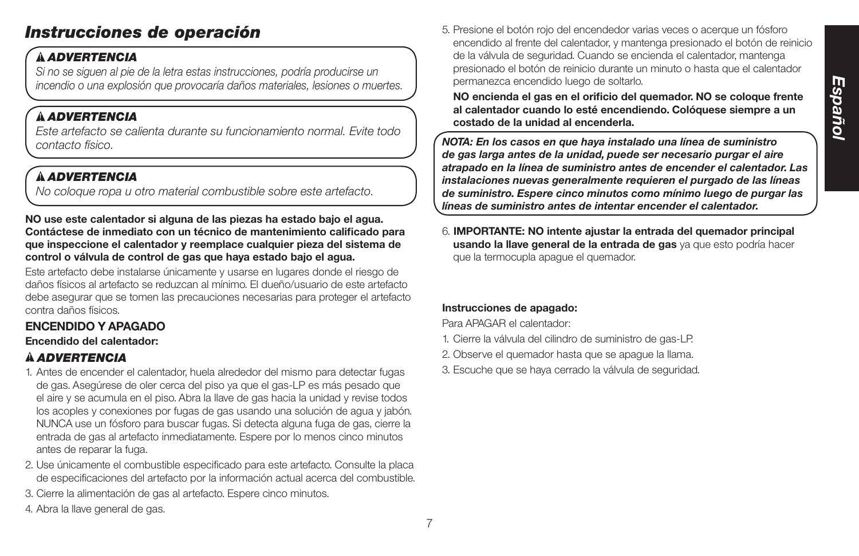# *Instrucciones de operación*

# *ADVERTENCIA*

*Si no se siguen al pie de la letra estas instrucciones, podría producirse un incendio o una explosión que provocaría daños materiales, lesiones o muertes.*

# *ADVERTENCIA*

*Este artefacto se calienta durante su funcionamiento normal. Evite todo contacto físico.*

# *ADVERTENCIA*

*No coloque ropa u otro material combustible sobre este artefacto.*

## **NO use este calentador si alguna de las piezas ha estado bajo el agua. Contáctese de inmediato con un técnico de mantenimiento calificado para que inspeccione el calentador y reemplace cualquier pieza del sistema de control o válvula de control de gas que haya estado bajo el agua.**

Este artefacto debe instalarse únicamente y usarse en lugares donde el riesgo de daños físicos al artefacto se reduzcan al mínimo. El dueño/usuario de este artefacto debe asegurar que se tomen las precauciones necesarias para proteger el artefacto contra daños físicos.

# **ENCENDIDO Y APAGADO**

## **Encendido del calentador:**

# *ADVERTENCIA*

- 1. Antes de encender el calentador, huela alrededor del mismo para detectar fugas de gas. Asegúrese de oler cerca del piso ya que el gas-LP es más pesado que el aire y se acumula en el piso. Abra la llave de gas hacia la unidad y revise todos los acoples y conexiones por fugas de gas usando una solución de agua y jabón. NUNCA use un fósforo para buscar fugas. Si detecta alguna fuga de gas, cierre la entrada de gas al artefacto inmediatamente. Espere por lo menos cinco minutos antes de reparar la fuga.
- 2. Use únicamente el combustible especificado para este artefacto. Consulte la placa de especificaciones del artefacto por la información actual acerca del combustible.
- 3. Cierre la alimentación de gas al artefacto. Espere cinco minutos.
- 4. Abra la llave general de gas.

5. Presione el botón rojo del encendedor varias veces o acerque un fósforo encendido al frente del calentador, y mantenga presionado el botón de reinicio de la válvula de seguridad. Cuando se encienda el calentador, mantenga presionado el botón de reinicio durante un minuto o hasta que el calentador permanezca encendido luego de soltarlo.

**NO encienda el gas en el orificio del quemador. NO se coloque frente al calentador cuando lo esté encendiendo. Colóquese siempre a un costado de la unidad al encenderla.**

*NOTA: En los casos en que haya instalado una línea de suministro de gas larga antes de la unidad, puede ser necesario purgar el aire atrapado en la línea de suministro antes de encender el calentador. Las instalaciones nuevas generalmente requieren el purgado de las líneas de suministro. Espere cinco minutos como mínimo luego de purgar las líneas de suministro antes de intentar encender el calentador.*

6. **IMPORTANTE: NO intente ajustar la entrada del quemador principal usando la llave general de la entrada de gas** ya que esto podría hacer que la termocupla apague el quemador.

# **Instrucciones de apagado:**

Para APAGAR el calentador:

- 1. Cierre la válvula del cilindro de suministro de gas-LP.
- 2. Observe el quemador hasta que se apague la llama.
- 3. Escuche que se haya cerrado la válvula de seguridad.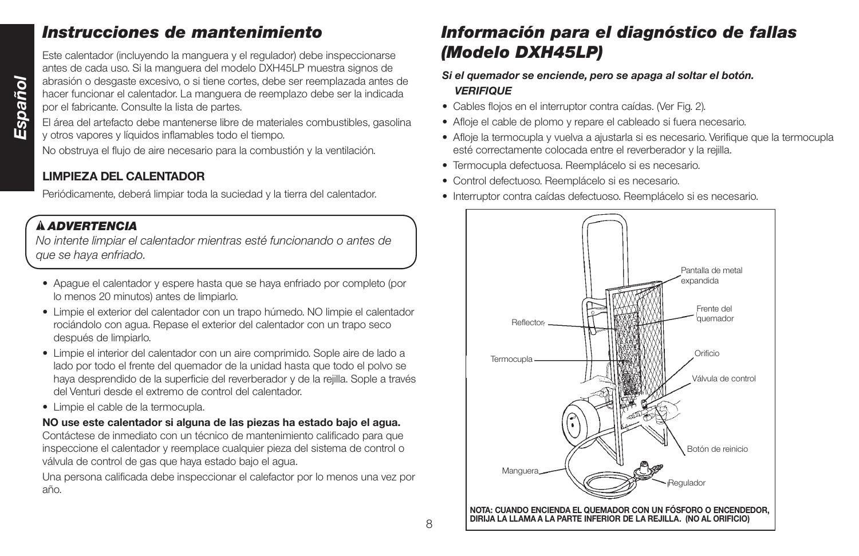# *Instrucciones de mantenimiento*

Este calentador (incluyendo la manguera y el regulador) debe inspeccionarse antes de cada uso. Si la manguera del modelo DXH45LP muestra signos de abrasión o desgaste excesivo, o si tiene cortes, debe ser reemplazada antes de hacer funcionar el calentador. La manguera de reemplazo debe ser la indicada por el fabricante. Consulte la lista de partes.

El área del artefacto debe mantenerse libre de materiales combustibles, gasolina y otros vapores y líquidos inflamables todo el tiempo.

No obstruya el flujo de aire necesario para la combustión y la ventilación.

# **LIMPIEZA DEL CALENTADOR**

Periódicamente, deberá limpiar toda la suciedad y la tierra del calentador.

# *ADVERTENCIA*

*No intente limpiar el calentador mientras esté funcionando o antes de que se haya enfriado.*

- Apague el calentador y espere hasta que se haya enfriado por completo (por lo menos 20 minutos) antes de limpiarlo.
- Limpie el exterior del calentador con un trapo húmedo. NO limpie el calentador rociándolo con agua. Repase el exterior del calentador con un trapo seco después de limpiarlo.
- Limpie el interior del calentador con un aire comprimido. Sople aire de lado a lado por todo el frente del quemador de la unidad hasta que todo el polvo se haya desprendido de la superficie del reverberador y de la rejilla. Sople a través del Venturi desde el extremo de control del calentador.
- Limpie el cable de la termocupla.

## **NO use este calentador si alguna de las piezas ha estado bajo el agua.** Contáctese de inmediato con un técnico de mantenimiento calificado para que inspeccione el calentador y reemplace cualquier pieza del sistema de control o válvula de control de gas que haya estado bajo el agua.

Una persona calificada debe inspeccionar el calefactor por lo menos una vez por año.

# *Información para el diagnóstico de fallas (Modelo DXH45LP)*

## *Si el quemador se enciende, pero se apaga al soltar el botón. VERIFIQUE*

- Cables flojos en el interruptor contra caídas. (Ver Fig. 2).
- Afloje el cable de plomo y repare el cableado si fuera necesario.
- Afloje la termocupla y vuelva a ajustarla si es necesario. Verifique que la termocupla esté correctamente colocada entre el reverberador y la rejilla.
- Termocupla defectuosa. Reemplácelo si es necesario.
- Control defectuoso. Reemplácelo si es necesario.
- Interruptor contra caídas defectuoso. Reemplácelo si es necesario.

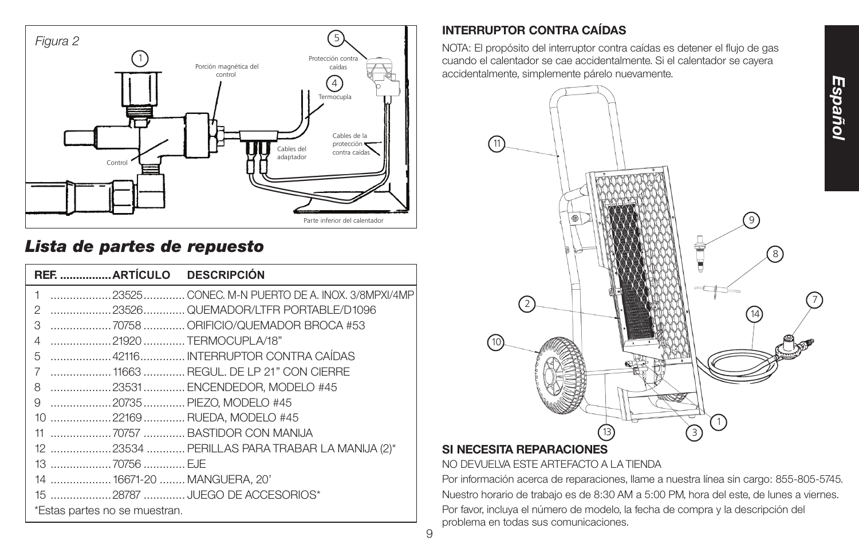

# *Lista de partes de repuesto*

| 1                             | 23525 CONEC. M-N PUERTO DE A. INOX. 3/8MPXI/4MP |
|-------------------------------|-------------------------------------------------|
| 2                             |                                                 |
| 3                             | 70758  ORIFICIO/QUEMADOR BROCA #53              |
| 4<br>21920 TERMOCUPLA/18"     |                                                 |
| 5                             |                                                 |
| 7                             | 11663  REGUL. DE LP 21" CON CIERRE              |
| 8                             | 23531 ENCENDEDOR, MODELO #45                    |
| 9<br>20735  PIEZO, MODELO #45 |                                                 |
| 10 22169  RUEDA, MODELO #45   |                                                 |
|                               |                                                 |
|                               | 12 23534  PERILLAS PARA TRABAR LA MANIJA (2)*   |
| 13 70756  EJE                 |                                                 |
| 14  16671-20  MANGUERA, 20'   |                                                 |
|                               |                                                 |
| *Estas partes no se muestran. |                                                 |

# **INTERRUPTOR CONTRA CAÍDAS**

NOTA: El propósito del interruptor contra caídas es detener el flujo de gas cuando el calentador se cae accidentalmente. Si el calentador se cayera accidentalmente, simplemente párelo nuevamente.



# **SI NECESITA REPARACIONES**

NO DEVUELVA ESTE ARTEFACTO A LA TIENDA

Por información acerca de reparaciones, llame a nuestra línea sin cargo: 855-805-5745. Nuestro horario de trabajo es de 8:30 AM a 5:00 PM, hora del este, de lunes a viernes. Por favor, incluya el número de modelo, la fecha de compra y la descripción del problema en todas sus comunicaciones.